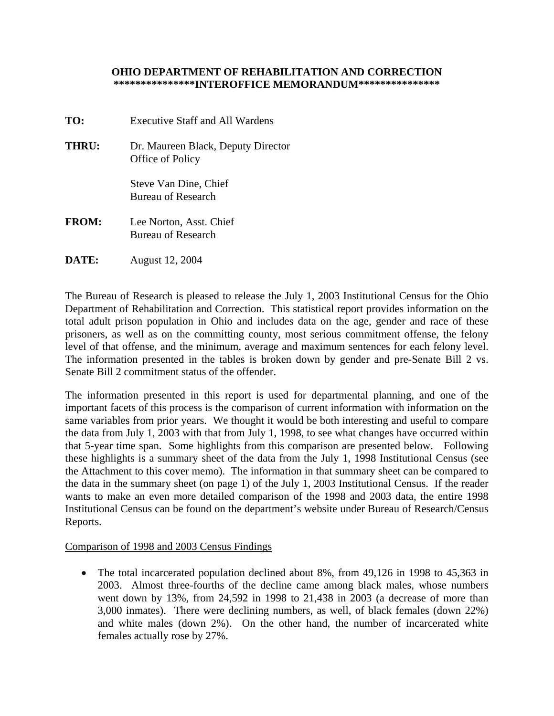## **OHIO DEPARTMENT OF REHABILITATION AND CORRECTION \*\*\*\*\*\*\*\*\*\*\*\*\*\*\*INTEROFFICE MEMORANDUM\*\*\*\*\*\*\*\*\*\*\*\*\*\*\***

- **TO:** Executive Staff and All Wardens **THRU:** Dr. Maureen Black, Deputy Director Office of Policy Steve Van Dine, Chief Bureau of Research **FROM:** Lee Norton, Asst. Chief Bureau of Research
- **DATE:** August 12, 2004

The Bureau of Research is pleased to release the July 1, 2003 Institutional Census for the Ohio Department of Rehabilitation and Correction. This statistical report provides information on the total adult prison population in Ohio and includes data on the age, gender and race of these prisoners, as well as on the committing county, most serious commitment offense, the felony level of that offense, and the minimum, average and maximum sentences for each felony level. The information presented in the tables is broken down by gender and pre-Senate Bill 2 vs. Senate Bill 2 commitment status of the offender.

The information presented in this report is used for departmental planning, and one of the important facets of this process is the comparison of current information with information on the same variables from prior years. We thought it would be both interesting and useful to compare the data from July 1, 2003 with that from July 1, 1998, to see what changes have occurred within that 5-year time span. Some highlights from this comparison are presented below. Following these highlights is a summary sheet of the data from the July 1, 1998 Institutional Census (see the Attachment to this cover memo). The information in that summary sheet can be compared to the data in the summary sheet (on page 1) of the July 1, 2003 Institutional Census. If the reader wants to make an even more detailed comparison of the 1998 and 2003 data, the entire 1998 Institutional Census can be found on the department's website under Bureau of Research/Census Reports.

## Comparison of 1998 and 2003 Census Findings

• The total incarcerated population declined about 8%, from 49,126 in 1998 to 45,363 in 2003. Almost three-fourths of the decline came among black males, whose numbers went down by 13%, from 24,592 in 1998 to 21,438 in 2003 (a decrease of more than 3,000 inmates). There were declining numbers, as well, of black females (down 22%) and white males (down 2%). On the other hand, the number of incarcerated white females actually rose by 27%.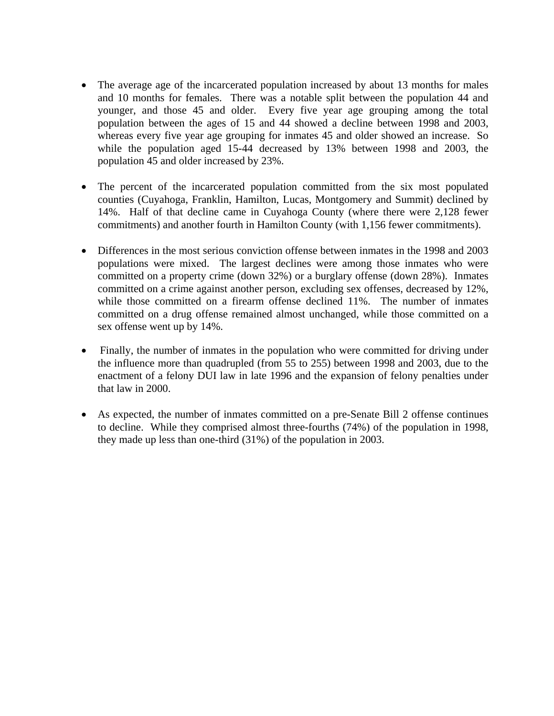- The average age of the incarcerated population increased by about 13 months for males and 10 months for females. There was a notable split between the population 44 and younger, and those 45 and older. Every five year age grouping among the total population between the ages of 15 and 44 showed a decline between 1998 and 2003, whereas every five year age grouping for inmates 45 and older showed an increase. So while the population aged 15-44 decreased by 13% between 1998 and 2003, the population 45 and older increased by 23%.
- The percent of the incarcerated population committed from the six most populated counties (Cuyahoga, Franklin, Hamilton, Lucas, Montgomery and Summit) declined by 14%. Half of that decline came in Cuyahoga County (where there were 2,128 fewer commitments) and another fourth in Hamilton County (with 1,156 fewer commitments).
- Differences in the most serious conviction offense between inmates in the 1998 and 2003 populations were mixed. The largest declines were among those inmates who were committed on a property crime (down 32%) or a burglary offense (down 28%). Inmates committed on a crime against another person, excluding sex offenses, decreased by 12%, while those committed on a firearm offense declined 11%. The number of inmates committed on a drug offense remained almost unchanged, while those committed on a sex offense went up by 14%.
- Finally, the number of inmates in the population who were committed for driving under the influence more than quadrupled (from 55 to 255) between 1998 and 2003, due to the enactment of a felony DUI law in late 1996 and the expansion of felony penalties under that law in 2000.
- As expected, the number of inmates committed on a pre-Senate Bill 2 offense continues to decline. While they comprised almost three-fourths (74%) of the population in 1998, they made up less than one-third (31%) of the population in 2003.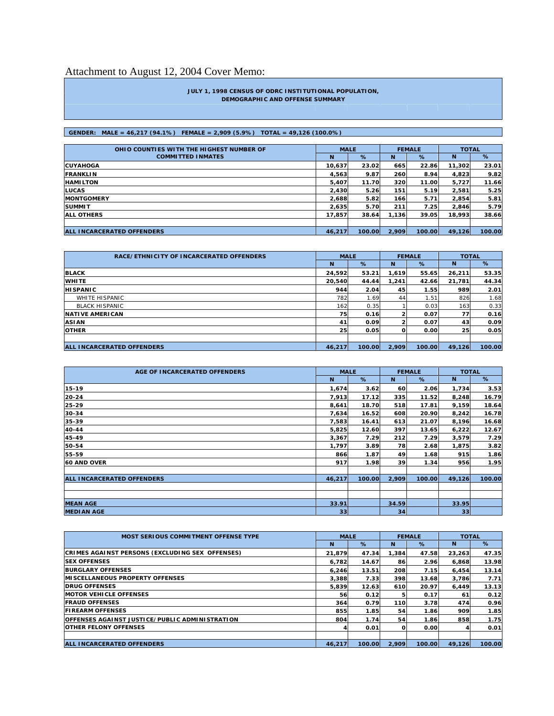# Attachment to August 12, 2004 Cover Memo:

#### **JULY 1, 1998 CENSUS OF ODRC INSTITUTIONAL POPULATION, DEMOGRAPHIC AND OFFENSE SUMMARY**

### **GENDER: MALE = 46,217 (94.1%) FEMALE = 2,909 (5.9%) TOTAL = 49,126 (100.0%)**

| OHIO COUNTIES WITH THE HIGHEST NUMBER OF | <b>MALE</b> |               |       | <b>FEMALE</b> | <b>TOTAL</b> |        |
|------------------------------------------|-------------|---------------|-------|---------------|--------------|--------|
| <b>COMMITTED INMATES</b>                 | N           | %             | N     | %             | N            | %      |
| <b>CUYAHOGA</b>                          | 10.637      | 23.02         | 665   | 22.86         | 11,302       | 23.01  |
| <b>FRANKLIN</b>                          | 4,563       | 9.87          | 260   | 8.94          | 4,823        | 9.82   |
| <b>HAMILTON</b>                          | 5,407       | 11.70         | 320   | 11.00         | 5,727        | 11.66  |
| <b>LUCAS</b>                             | 2,430       | 5.26          | 151   | 5.19          | 2,581        | 5.25   |
| <b>IMONTGOMERY</b>                       | 2,688       | 5.82          | 166   | 5.71          | 2.854        | 5.81   |
| <b>SUMMIT</b>                            | 2,635       | 5.70          | 211   | 7.25          | 2,846        | 5.79   |
| <b>ALL OTHERS</b>                        | 17,857      | 38.64         | 1,136 | 39.05         | 18,993       | 38.66  |
|                                          |             |               |       |               |              |        |
| <b>ALL INCARCERATED OFFENDERS</b>        | 46,217      | <b>100.00</b> | 2,909 | 100.00        | 49.126       | 100.00 |

| RACE/ETHNICITY OF INCARCERATED OFFENDERS | <b>MALE</b> |        |       | <b>FEMALE</b> | <b>TOTAL</b> |        |
|------------------------------------------|-------------|--------|-------|---------------|--------------|--------|
|                                          | N           | %      | N     | %             | N            | %      |
| <b>BLACK</b>                             | 24.592      | 53.21  | 1.619 | 55.65         | 26,211       | 53.35  |
| <b>WHITE</b>                             | 20,540      | 44.44  | 1.241 | 42.66         | 21,781       | 44.34  |
| <b>HISPANIC</b>                          | 944         | 2.04   | 45    | 1.55          | 989          | 2.01   |
| WHITE HISPANIC                           | 782         | 1.69   | 44    | 1.51          | 826          | 1.68   |
| <b>BLACK HISPANIC</b>                    | 162         | 0.35   |       | 0.03          | 163          | 0.33   |
| <b>NATIVE AMERICAN</b>                   | 75          | 0.16   |       | 0.07          | 77           | 0.16   |
| <b>ASIAN</b>                             | 41          | 0.09   |       | 0.07          | 43           | 0.09   |
| <b>OTHER</b>                             | 25          | 0.05   | വ     | 0.00          | 25           | 0.05   |
|                                          |             |        |       |               |              |        |
| <b>ALL INCARCERATED OFFENDERS</b>        | 46,217      | 100.00 | 2.909 | 100.00        | 49.126       | 100.00 |

| AGE OF INCARCERATED OFFENDERS     | <b>MALE</b> |        |       | <b>FEMALE</b> | <b>TOTAL</b> |        |
|-----------------------------------|-------------|--------|-------|---------------|--------------|--------|
|                                   | N           | %      | N     | %             | N            | %      |
| 15-19                             | 1,674       | 3.62   | 60    | 2.06          | 1,734        | 3.53   |
| 20-24                             | 7,913       | 17.12  | 335   | 11.52         | 8,248        | 16.79  |
| 25-29                             | 8,641       | 18.70  | 518   | 17.81         | 9,159        | 18.64  |
| 30-34                             | 7,634       | 16.52  | 608   | 20.90         | 8,242        | 16.78  |
| 35-39                             | 7,583       | 16.41  | 613   | 21.07         | 8,196        | 16.68  |
| 40-44                             | 5,825       | 12.60  | 397   | 13.65         | 6,222        | 12.67  |
| 45-49                             | 3,367       | 7.29   | 212   | 7.29          | 3,579        | 7.29   |
| 50-54                             | 1,797       | 3.89   | 78    | 2.68          | 1,875        | 3.82   |
| 55-59                             | 866         | 1.87   | 49    | 1.68          | 915          | 1.86   |
| <b>60 AND OVER</b>                | 917         | 1.98   | 39    | 1.34          | 956          | 1.95   |
|                                   |             |        |       |               |              |        |
| <b>ALL INCARCERATED OFFENDERS</b> | 46,217      | 100.00 | 2,909 | 100.00        | 49,126       | 100.00 |
|                                   |             |        |       |               |              |        |
|                                   |             |        |       |               |              |        |
| <b>MEAN AGE</b>                   | 33.91       |        | 34.59 |               | 33.95        |        |
| <b>MEDIAN AGE</b>                 | 33          |        | 34    |               | 33           |        |

| <b>MOST SERIOUS COMMITMENT OFFENSE TYPE</b>           | <b>MALE</b> |               |       | <b>FEMALE</b> | <b>TOTAL</b> |        |
|-------------------------------------------------------|-------------|---------------|-------|---------------|--------------|--------|
|                                                       | N           | %             | N     | %             | N            | $\%$   |
| CRIMES AGAINST PERSONS (EXCLUDING SEX OFFENSES)       | 21.879      | 47.34         | 1,384 | 47.58         | 23,263       | 47.35  |
| <b>ISEX OFFENSES</b>                                  | 6,782       | 14.67         | 86    | 2.96          | 6,868        | 13.98  |
| <b>BURGLARY OFFENSES</b>                              | 6,246       | 13.51         | 208   | 7.15          | 6.454        | 13.14  |
| <b>MISCELLANEOUS PROPERTY OFFENSES</b>                | 3,388       | 7.33          | 398   | 13.68         | 3.786        | 7.71   |
| <b>DRUG OFFENSES</b>                                  | 5,839       | 12.63         | 610   | 20.97         | 6.449        | 13.13  |
| <b>MOTOR VEHICLE OFFENSES</b>                         | 56          | 0.12          |       | 0.17          | 61           | 0.12   |
| <b>FRAUD OFFENSES</b>                                 | 364         | 0.79          | 110   | 3.78          | 474          | 0.96   |
| <b>FIREARM OFFENSES</b>                               | 855         | 1.85          | 54    | 1.86          | 909          | 1.85   |
| <b>OFFENSES AGAINST JUSTICE/PUBLIC ADMINISTRATION</b> | 804         | 1.74          | 54    | 1.86          | 858          | 1.75   |
| <b>OTHER FELONY OFFENSES</b>                          |             | 0.01          | O     | 0.00          |              | 0.01   |
|                                                       |             |               |       |               |              |        |
| <b>ALL INCARCERATED OFFENDERS</b>                     | 46.217      | <b>100.00</b> | 2.909 | 100.00        | 49.126       | 100.00 |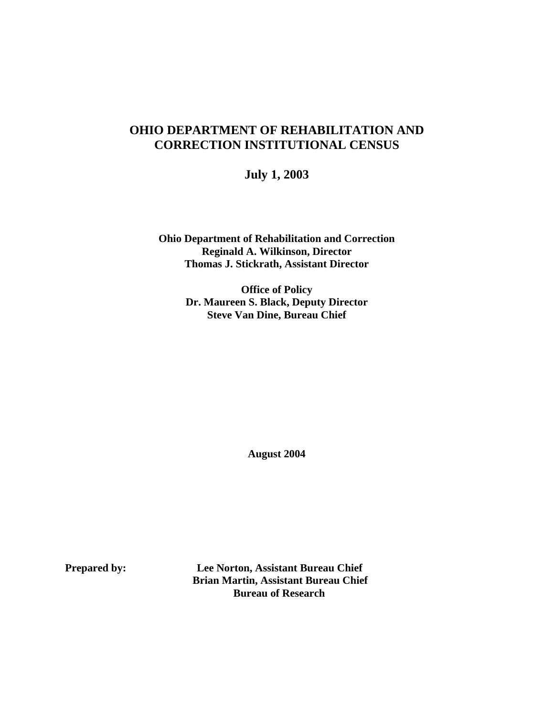# **OHIO DEPARTMENT OF REHABILITATION AND CORRECTION INSTITUTIONAL CENSUS**

**July 1, 2003**

**Ohio Department of Rehabilitation and Correction Reginald A. Wilkinson, Director Thomas J. Stickrath, Assistant Director** 

> **Office of Policy Dr. Maureen S. Black, Deputy Director Steve Van Dine, Bureau Chief**

> > **August 2004**

**Prepared by: Lee Norton, Assistant Bureau Chief Brian Martin, Assistant Bureau Chief Bureau of Research**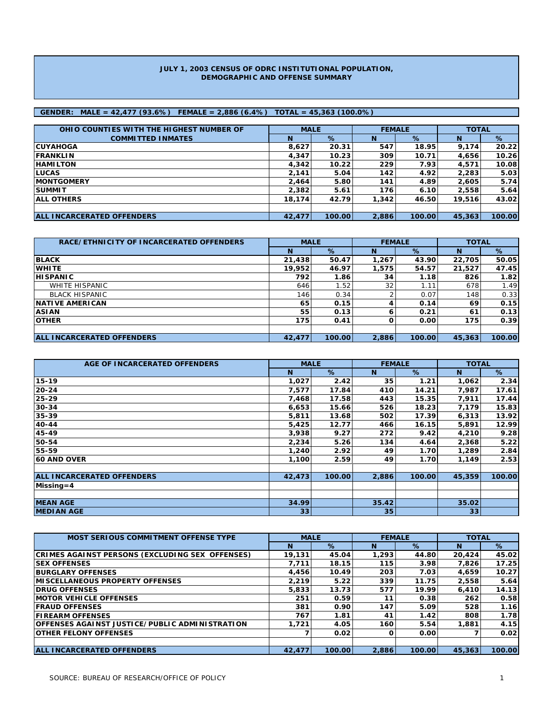#### **JULY 1, 2003 CENSUS OF ODRC INSTITUTIONAL POPULATION, DEMOGRAPHIC AND OFFENSE SUMMARY**

### **GENDER: MALE = 42,477 (93.6%) FEMALE = 2,886 (6.4%) TOTAL = 45,363 (100.0%)**

| OHIO COUNTIES WITH THE HIGHEST NUMBER OF | <b>MALE</b> |        | <b>FEMALE</b> |        | <b>TOTAL</b> |        |
|------------------------------------------|-------------|--------|---------------|--------|--------------|--------|
| <b>COMMITTED INMATES</b>                 | N           | $\%$   | N             | %      | N            | %      |
| <b>ICUYAHOGA</b>                         | 8,627       | 20.31  | 547           | 18.95  | 9.174        | 20.22  |
| <b>IFRANKLIN</b>                         | 4,347       | 10.23  | 309           | 10.71  | 4,656        | 10.26  |
| <b>HAMILTON</b>                          | 4,342       | 10.22  | 229           | 7.93   | 4,571        | 10.08  |
| <b>LUCAS</b>                             | 2,141       | 5.04   | 142           | 4.92   | 2,283        | 5.03   |
| <b>IMONTGOMERY</b>                       | 2.464       | 5.80   | 141           | 4.89   | 2,605        | 5.74   |
| <b>ISUMMIT</b>                           | 2,382       | 5.61   | 176           | 6.10   | 2,558        | 5.64   |
| <b>JALL OTHERS</b>                       | 18.174      | 42.79  | 1,342         | 46.50  | 19,516       | 43.02  |
|                                          |             |        |               |        |              |        |
| <b>ALL INCARCERATED OFFENDERS</b>        | 42,477      | 100.00 | 2,886         | 100.00 | 45,363       | 100.00 |

| RACE/ETHNICITY OF INCARCERATED OFFENDERS | <b>MALE</b> |        | <b>FEMALE</b> |        | <b>TOTAL</b> |        |  |
|------------------------------------------|-------------|--------|---------------|--------|--------------|--------|--|
|                                          | N           | %      | <b>N</b>      | %      | N            | %      |  |
| <b>BLACK</b>                             | 21,438      | 50.47  | 1,267         | 43.90  | 22,705       | 50.05  |  |
| <b>WHITE</b>                             | 19,952      | 46.97  | 1,575         | 54.57  | 21,527       | 47.45  |  |
| <b>HISPANIC</b>                          | 792         | 1.86   | 34            | 1.18   | 826          | 1.82   |  |
| <b>WHITE HISPANIC</b>                    | 646         | 1.52   | 32            | 1.11   | 678          | 1.49   |  |
| <b>BLACK HISPANIC</b>                    | 146         | 0.34   |               | 0.07   | 148          | 0.33   |  |
| <b>INATIVE AMERICAN</b>                  | 65          | 0.15   |               | 0.14   | 69           | 0.15   |  |
| <b>ASIAN</b>                             | 55          | 0.13   |               | 0.21   | 61           | 0.13   |  |
| <b>OTHER</b>                             | 175         | 0.41   |               | 0.00   | 175          | 0.39   |  |
|                                          |             |        |               |        |              |        |  |
| <b>ALL INCARCERATED OFFENDERS</b>        | 42,477      | 100.00 | 2,886         | 100.00 | 45,363       | 100.00 |  |

| AGE OF INCARCERATED OFFENDERS     | <b>MALE</b> |        | <b>FEMALE</b> |        | <b>TOTAL</b> |        |  |
|-----------------------------------|-------------|--------|---------------|--------|--------------|--------|--|
|                                   | N           | %      | N             | %      | N            | %      |  |
| 15-19                             | 1,027       | 2.42   | 35            | 1.21   | 1,062        | 2.34   |  |
| $20 - 24$                         | 7,577       | 17.84  | 410           | 14.21  | 7,987        | 17.61  |  |
| 25-29                             | 7,468       | 17.58  | 443           | 15.35  | 7,911        | 17.44  |  |
| 30-34                             | 6,653       | 15.66  | 526           | 18.23  | 7,179        | 15.83  |  |
| 35-39                             | 5,811       | 13.68  | 502           | 17.39  | 6,313        | 13.92  |  |
| 40-44                             | 5,425       | 12.77  | 466           | 16.15  | 5,891        | 12.99  |  |
| 45-49                             | 3,938       | 9.27   | 272           | 9.42   | 4,210        | 9.28   |  |
| 50-54                             | 2,234       | 5.26   | 134           | 4.64   | 2,368        | 5.22   |  |
| 55-59                             | 1,240       | 2.92   | 49            | 1.70   | 1,289        | 2.84   |  |
| <b>60 AND OVER</b>                | 1,100       | 2.59   | 49            | 1.70   | 1,149        | 2.53   |  |
|                                   |             |        |               |        |              |        |  |
| <b>ALL INCARCERATED OFFENDERS</b> | 42,473      | 100.00 | 2,886         | 100.00 | 45,359       | 100.00 |  |
| $Missing = 4$                     |             |        |               |        |              |        |  |
|                                   |             |        |               |        |              |        |  |
| <b>MEAN AGE</b>                   | 34.99       |        | 35.42         |        | 35.02        |        |  |
| <b>MEDIAN AGE</b>                 | 33          |        | 35            |        | 33           |        |  |

| <b>MOST SERIOUS COMMITMENT OFFENSE TYPE</b>     | <b>MALE</b> |        | <b>FEMALE</b> |                   | <b>TOTAL</b> |        |
|-------------------------------------------------|-------------|--------|---------------|-------------------|--------------|--------|
|                                                 | N           | $\%$   | N             | %                 | N            | %      |
| CRIMES AGAINST PERSONS (EXCLUDING SEX OFFENSES) | 19.131      | 45.04  | 1,293         | 44.80             | 20,424       | 45.02  |
| <b>SEX OFFENSES</b>                             | 7.711       | 18.15  | 115           | 3.98              | 7.826        | 17.25  |
| <b>BURGLARY OFFENSES</b>                        | 4,456       | 10.49  | 203           | 7.03              | 4,659        | 10.27  |
| <b>IMISCELLANEOUS PROPERTY OFFENSES</b>         | 2.219       | 5.22   | 339           | 11.75             | 2,558        | 5.64   |
| <b>IDRUG OFFENSES</b>                           | 5.833       | 13.73  | 577           | 19.99             | 6.410        | 14.13  |
| <b>IMOTOR VEHICLE OFFENSES</b>                  | 251         | 0.59   | 11            | 0.38              | 262          | 0.58   |
| <b>IFRAUD OFFENSES</b>                          | 381         | 0.90   | 147           | 5.09              | 528          | 1.16   |
| <b>FIREARM OFFENSES</b>                         | 767         | 1.81   | 41            | 1.42              | 808          | 1.78   |
| IOFFENSES AGAINST JUSTICE/PUBLIC ADMINISTRATION | 1.721       | 4.05   | 160           | 5.54              | 1,881        | 4.15   |
| <b>IOTHER FELONY OFFENSES</b>                   |             | 0.02   | Ω             | 0.00 <sub>l</sub> |              | 0.02   |
|                                                 |             |        |               |                   |              |        |
| <b>ALL INCARCERATED OFFENDERS</b>               | 42,477      | 100.00 | 2.886         | 100.00            | 45,363       | 100.00 |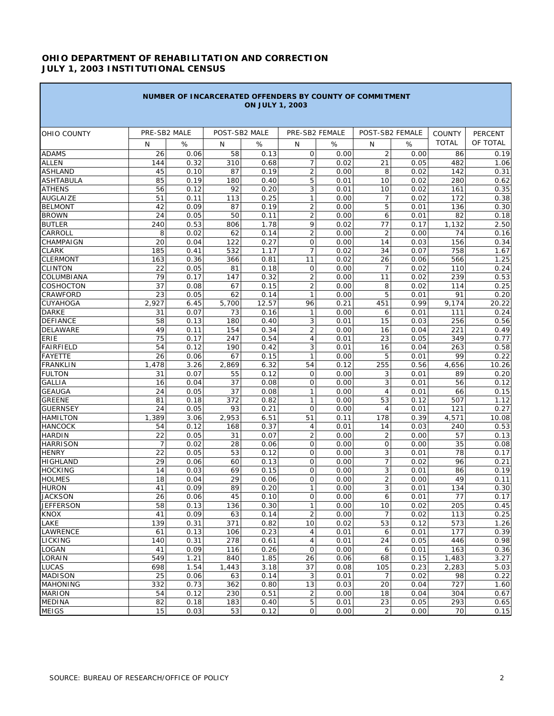## **OHIO DEPARTMENT OF REHABILITATION AND CORRECTION JULY 1, 2003 INSTITUTIONAL CENSUS**

|                                   |                | NUMBER OF INCARCERATED OFFENDERS BY COUNTY OF COMMITMENT |               | <b>ON JULY 1, 2003</b> |                                |              |                  |              |               |              |
|-----------------------------------|----------------|----------------------------------------------------------|---------------|------------------------|--------------------------------|--------------|------------------|--------------|---------------|--------------|
| <b>OHIO COUNTY</b>                | PRE-SB2 MALE   |                                                          | POST-SB2 MALE |                        | PRE-SB2 FEMALE                 |              | POST-SB2 FEMALE  |              | <b>COUNTY</b> | PERCENT      |
|                                   | N              | %                                                        | N             | %                      | N                              | %            | N                | %            | <b>TOTAL</b>  | OF TOTAL     |
| <b>ADAMS</b>                      |                |                                                          | 58            |                        | $\mathsf{O}\xspace$            |              | $\overline{2}$   |              |               |              |
| <b>ALLEN</b>                      | 26<br>144      | 0.06<br>0.32                                             | 310           | 0.13<br>0.68           | 7                              | 0.00<br>0.02 | 21               | 0.00<br>0.05 | 86<br>482     | 0.19         |
| <b>ASHLAND</b>                    | 45             | 0.10                                                     | 87            | 0.19                   | $\overline{2}$                 | 0.00         | 8                | 0.02         | 142           | 1.06<br>0.31 |
| <b>ASHTABULA</b>                  | 85             | 0.19                                                     | 180           | 0.40                   | 5                              | 0.01         | 10               | 0.02         | 280           | 0.62         |
| <b>ATHENS</b>                     | 56             | 0.12                                                     | 92            | 0.20                   | 3                              | 0.01         | 10               | 0.02         | 161           | 0.35         |
| <b>AUGLAIZE</b>                   | 51             | 0.11                                                     | 113           | 0.25                   | $\mathbf{1}$                   | 0.00         | $\overline{7}$   | 0.02         | 172           | 0.38         |
| <b>BELMONT</b>                    | 42             | 0.09                                                     | 87            | 0.19                   | 2                              | 0.00         | 5                | 0.01         | 136           | 0.30         |
| <b>BROWN</b>                      | 24             | 0.05                                                     | 50            | 0.11                   | $\overline{2}$                 | 0.00         | 6                | 0.01         | 82            | 0.18         |
| <b>BUTLER</b>                     | 240            | 0.53                                                     | 806           | 1.78                   | 9                              | 0.02         | 77               | 0.17         | 1,132         | 2.50         |
| CARROLL                           | 8              | 0.02                                                     | 62            | 0.14                   | 2                              | 0.00         | $\overline{2}$   | 0.00         | 74            | 0.16         |
| CHAMPAIGN                         | 20             | 0.04                                                     | 122           | 0.27                   | $\mathbf 0$                    | 0.00         | 14               | 0.03         | 156           | 0.34         |
| <b>CLARK</b>                      | 185            | 0.41                                                     | 532           | 1.17                   | $\overline{7}$                 | 0.02         | 34               | 0.07         | 758           | 1.67         |
|                                   | 163            | 0.36                                                     |               | 0.81                   | 11                             | 0.02         | 26               |              | 566           | 1.25         |
| <b>CLERMONT</b><br><b>CLINTON</b> | 22             |                                                          | 366           |                        | $\mathbf 0$                    | 0.00         | $\overline{7}$   | 0.06         |               | 0.24         |
| COLUMBIANA                        | 79             | 0.05                                                     | 81            | 0.18                   |                                |              | 11               | 0.02         | 110<br>239    |              |
|                                   |                | 0.17                                                     | 147           | 0.32                   | 2                              | 0.00         |                  | 0.02         |               | 0.53         |
| <b>COSHOCTON</b><br>CRAWFORD      | 37             | 0.08                                                     | 67            | 0.15                   | $\overline{2}$<br>$\mathbf{1}$ | 0.00         | 8<br>5           | 0.02         | 114<br>91     | 0.25         |
|                                   | 23             | 0.05                                                     | 62            | 0.14                   |                                | 0.00         |                  | 0.01         |               | 0.20         |
| <b>CUYAHOGA</b>                   | 2,927          | 6.45                                                     | 5,700<br>73   | 12.57                  | 96                             | 0.21         | 451              | 0.99         | 9,174         | 20.22        |
| <b>DARKE</b><br><b>DEFIANCE</b>   | 31<br>58       | 0.07                                                     |               | 0.16                   | $\mathbf{1}$                   | 0.00         | 6<br>15          | 0.01         | 111           | 0.24         |
|                                   |                | 0.13                                                     | 180           | 0.40                   | 3                              | 0.01         |                  | 0.03         | 256           | 0.56         |
| <b>DELAWARE</b>                   | 49             | 0.11                                                     | 154           | 0.34                   | $\mathbf 2$                    | 0.00         | 16               | 0.04         | 221           | 0.49         |
| <b>ERIE</b>                       | 75             | 0.17                                                     | 247           | 0.54                   | $\overline{4}$                 | 0.01         | 23               | 0.05         | 349           | 0.77         |
| <b>FAIRFIELD</b>                  | 54             | 0.12                                                     | 190           | 0.42                   | 3                              | 0.01         | 16               | 0.04         | 263           | 0.58         |
| <b>FAYETTE</b>                    | 26             | 0.06                                                     | 67            | 0.15                   | 1                              | 0.00         | 5                | 0.01         | 99            | 0.22         |
| <b>FRANKLIN</b>                   | 1,478          | 3.26                                                     | 2,869         | 6.32                   | 54                             | 0.12         | 255              | 0.56         | 4,656         | 10.26        |
| <b>FULTON</b>                     | 31             | 0.07                                                     | 55            | 0.12                   | 0                              | 0.00         | 3                | 0.01         | 89            | 0.20         |
| <b>GALLIA</b>                     | 16             | 0.04                                                     | 37            | 0.08                   | $\mathbf 0$                    | 0.00         | 3                | 0.01         | 56            | 0.12         |
| <b>GEAUGA</b>                     | 24             | 0.05                                                     | 37            | 0.08                   | $\mathbf{1}$                   | 0.00         | $\overline{4}$   | 0.01         | 66            | 0.15         |
| <b>GREENE</b>                     | 81             | 0.18                                                     | 372           | 0.82                   | $\mathbf{1}$                   | 0.00         | 53               | 0.12         | 507           | 1.12         |
| <b>GUERNSEY</b>                   | 24             | 0.05                                                     | 93            | 0.21                   | 0                              | 0.00         | $\overline{4}$   | 0.01         | 121           | 0.27         |
| <b>HAMILTON</b>                   | 1,389          | 3.06                                                     | 2,953         | 6.51                   | 51                             | 0.11         | 178              | 0.39         | 4,571         | 10.08        |
| <b>HANCOCK</b>                    | 54             | 0.12                                                     | 168           | 0.37                   | $\overline{4}$                 | 0.01         | 14               | 0.03         | 240           | 0.53         |
| <b>HARDIN</b>                     | 22             | 0.05                                                     | 31            | 0.07                   | $\overline{2}$                 | 0.00         | $\overline{2}$   | 0.00         | 57            | 0.13         |
| <b>HARRISON</b>                   | $\overline{7}$ | 0.02                                                     | 28            | 0.06                   | 0                              | 0.00         | 0                | 0.00         | 35            | 0.08         |
| <b>HENRY</b>                      | 22             | 0.05                                                     | 53            | 0.12                   | $\overline{O}$                 | 0.00         | 3                | 0.01         | 78            | 0.17         |
| <b>HIGHLAND</b>                   | 29             | 0.06                                                     | 60            | 0.13                   | 0                              | 0.00         | $\overline{7}$   | 0.02         | 96            | 0.21         |
| <b>HOCKING</b>                    | 14             | 0.03                                                     | 69            | 0.15                   | $\mathbf 0$                    | 0.00         | 3                | 0.01         | 86            | 0.19         |
| <b>HOLMES</b>                     | 18             | 0.04                                                     | 29            | 0.06                   | $\mathbf 0$                    | 0.00         | $\overline{2}$   | 0.00         | 49            | 0.11         |
| <b>HURON</b>                      | 41             | 0.09                                                     | 89            | 0.20                   | $\mathbf{1}$                   | 0.00         | 3                | 0.01         | 134           | 0.30         |
| <b>JACKSON</b>                    | 26             | 0.06                                                     | 45            | 0.10                   | $\mathsf{O}\xspace$            | 0.00         | $\boldsymbol{6}$ | 0.01         | 77            | 0.17         |
| <b>JEFFERSON</b>                  | 58             | 0.13                                                     | 136           | 0.30                   | $\mathbf{1}$                   | 0.00         | 10               | 0.02         | 205           | 0.45         |
| <b>KNOX</b>                       | 41             | 0.09                                                     | 63            | 0.14                   | $\overline{2}$                 | 0.00         | 7                | 0.02         | 113           | 0.25         |
| LAKE                              | 139            | 0.31                                                     | 371           | 0.82                   | 10                             | 0.02         | 53               | 0.12         | 573           | 1.26         |
| <b>LAWRENCE</b>                   | 61             | 0.13                                                     | 106           | 0.23                   | 4                              | 0.01         | 6                | 0.01         | 177           | 0.39         |
| <b>LICKING</b>                    | 140            | 0.31                                                     | 278           | 0.61                   | 4                              | 0.01         | 24               | 0.05         | 446           | 0.98         |
| <b>LOGAN</b>                      | 41             | 0.09                                                     | 116           | 0.26                   | $\mathsf{O}$                   | 0.00         | 6                | 0.01         | 163           | 0.36         |
| LORAIN                            | 549            | 1.21                                                     | 840           | 1.85                   | 26                             | 0.06         | 68               | 0.15         | 1,483         | 3.27         |
| <b>LUCAS</b>                      | 698            | 1.54                                                     | 1,443         | 3.18                   | 37                             | 0.08         | 105              | 0.23         | 2,283         | 5.03         |
| <b>MADISON</b>                    | 25             | 0.06                                                     | 63            | 0.14                   | 3                              | 0.01         | 7                | 0.02         | 98            | 0.22         |
| <b>MAHONING</b>                   | 332            | 0.73                                                     | 362           | 0.80                   | 13                             | 0.03         | 20               | 0.04         | 727           | 1.60         |
| <b>MARION</b>                     | 54             | 0.12                                                     | 230           | 0.51                   | $\overline{2}$                 | 0.00         | 18               | 0.04         | 304           | 0.67         |
| <b>MEDINA</b>                     | 82             | 0.18                                                     | 183           | 0.40                   | 5                              | 0.01         | 23               | 0.05         | 293           | 0.65         |
| <b>MEIGS</b>                      | 15             | 0.03                                                     | 53            | 0.12                   | $\mathbf 0$                    | 0.00         | 2                | 0.00         | 70            | 0.15         |

٦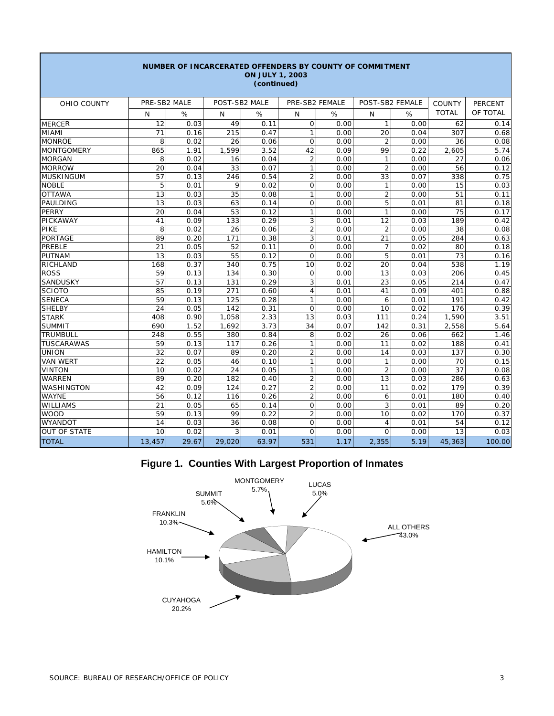|                     |              | NUMBER OF INCARCERATED OFFENDERS BY COUNTY OF COMMITMENT |               | <b>ON JULY 1, 2003</b><br>(continued) |                |      |                 |      |               |          |
|---------------------|--------------|----------------------------------------------------------|---------------|---------------------------------------|----------------|------|-----------------|------|---------------|----------|
| OHIO COUNTY         | PRE-SB2 MALE |                                                          | POST-SB2 MALE |                                       | PRE-SB2 FEMALE |      | POST-SB2 FEMALE |      | <b>COUNTY</b> | PERCENT  |
|                     | N            | %                                                        | N             | %                                     | N              | %    | N               | %    | <b>TOTAL</b>  | OF TOTAL |
| <b>MERCER</b>       | 12           | 0.03                                                     | 49            | 0.11                                  | O              | 0.00 | $\mathbf{1}$    | 0.00 | 62            | 0.14     |
| MIAMI               | 71           | 0.16                                                     | 215           | 0.47                                  | $\mathbf{1}$   | 0.00 | 20              | 0.04 | 307           | 0.68     |
| <b>MONROE</b>       | 8            | 0.02                                                     | 26            | 0.06                                  | O              | 0.00 | $\overline{2}$  | 0.00 | 36            | 0.08     |
| <b>MONTGOMERY</b>   | 865          | 1.91                                                     | 1,599         | 3.52                                  | 42             | 0.09 | 99              | 0.22 | 2,605         | 5.74     |
| <b>MORGAN</b>       | 8            | 0.02                                                     | 16            | 0.04                                  | $\overline{2}$ | 0.00 | $\mathbf{1}$    | 0.00 | 27            | 0.06     |
| <b>MORROW</b>       | 20           | 0.04                                                     | 33            | 0.07                                  | $\mathbf{1}$   | 0.00 | $\overline{2}$  | 0.00 | 56            | 0.12     |
| <b>MUSKINGUM</b>    | 57           | 0.13                                                     | 246           | 0.54                                  | $\overline{2}$ | 0.00 | 33              | 0.07 | 338           | 0.75     |
| <b>NOBLE</b>        | 5            | 0.01                                                     | 9             | 0.02                                  | 0              | 0.00 | 1               | 0.00 | 15            | 0.03     |
| <b>OTTAWA</b>       | 13           | 0.03                                                     | 35            | 0.08                                  | $\mathbf{1}$   | 0.00 | $\overline{c}$  | 0.00 | 51            | 0.11     |
| PAULDING            | 13           | 0.03                                                     | 63            | 0.14                                  | $\mathbf{O}$   | 0.00 | 5               | 0.01 | 81            | 0.18     |
| <b>PERRY</b>        | 20           | 0.04                                                     | 53            | 0.12                                  | $\mathbf{1}$   | 0.00 | $\mathbf{1}$    | 0.00 | 75            | 0.17     |
| PICKAWAY            | 41           | 0.09                                                     | 133           | 0.29                                  | 3              | 0.01 | 12              | 0.03 | 189           | 0.42     |
| <b>PIKE</b>         | 8            | 0.02                                                     | 26            | 0.06                                  | $\overline{2}$ | 0.00 | $\overline{2}$  | 0.00 | 38            | 0.08     |
| <b>PORTAGE</b>      | 89           | 0.20                                                     | 171           | 0.38                                  | 3              | 0.01 | 21              | 0.05 | 284           | 0.63     |
| <b>PREBLE</b>       | 21           | 0.05                                                     | 52            | 0.11                                  | $\mathbf 0$    | 0.00 | $\overline{7}$  | 0.02 | 80            | 0.18     |
| <b>PUTNAM</b>       | 13           | 0.03                                                     | 55            | 0.12                                  | $\Omega$       | 0.00 | 5               | 0.01 | 73            | 0.16     |
| RICHLAND            | 168          | 0.37                                                     | 340           | 0.75                                  | 10             | 0.02 | 20              | 0.04 | 538           | 1.19     |
| <b>ROSS</b>         | 59           | 0.13                                                     | 134           | 0.30                                  | $\mathsf{O}$   | 0.00 | 13              | 0.03 | 206           | 0.45     |
| <b>SANDUSKY</b>     | 57           | 0.13                                                     | 131           | 0.29                                  | 3              | 0.01 | 23              | 0.05 | 214           | 0.47     |
| SCIOTO              | 85           | 0.19                                                     | 271           | 0.60                                  | $\overline{4}$ | 0.01 | 41              | 0.09 | 401           | 0.88     |
| <b>SENECA</b>       | 59           | 0.13                                                     | 125           | 0.28                                  | $\mathbf{1}$   | 0.00 | 6               | 0.01 | 191           | 0.42     |
| <b>SHELBY</b>       | 24           | 0.05                                                     | 142           | 0.31                                  | $\mathsf{O}$   | 0.00 | 10              | 0.02 | 176           | 0.39     |
| <b>STARK</b>        | 408          | 0.90                                                     | 1,058         | 2.33                                  | 13             | 0.03 | 111             | 0.24 | 1,590         | 3.51     |
| <b>SUMMIT</b>       | 690          | 1.52                                                     | 1,692         | 3.73                                  | 34             | 0.07 | 142             | 0.31 | 2,558         | 5.64     |
| <b>TRUMBULL</b>     | 248          | 0.55                                                     | 380           | 0.84                                  | 8              | 0.02 | 26              | 0.06 | 662           | 1.46     |
| <b>TUSCARAWAS</b>   | 59           | 0.13                                                     | 117           | 0.26                                  | $\mathbf{1}$   | 0.00 | 11              | 0.02 | 188           | 0.41     |
| <b>UNION</b>        | 32           | 0.07                                                     | 89            | 0.20                                  | $\overline{2}$ | 0.00 | 14              | 0.03 | 137           | 0.30     |
| <b>VAN WERT</b>     | 22           | 0.05                                                     | 46            | 0.10                                  | $\mathbf{1}$   | 0.00 | 1               | 0.00 | 70            | 0.15     |
| <b>VINTON</b>       | 10           | 0.02                                                     | 24            | 0.05                                  | 1              | 0.00 | $\overline{2}$  | 0.00 | 37            | 0.08     |
| <b>WARREN</b>       | 89           | 0.20                                                     | 182           | 0.40                                  | $\overline{2}$ | 0.00 | 13              | 0.03 | 286           | 0.63     |
| WASHINGTON          | 42           | 0.09                                                     | 124           | 0.27                                  | $\overline{2}$ | 0.00 | 11              | 0.02 | 179           | 0.39     |
| <b>WAYNE</b>        | 56           | 0.12                                                     | 116           | 0.26                                  | $\overline{2}$ | 0.00 | 6               | 0.01 | 180           | 0.40     |
| <b>WILLIAMS</b>     | 21           | 0.05                                                     | 65            | 0.14                                  | $\mathsf{O}$   | 0.00 | 3               | 0.01 | 89            | 0.20     |
| <b>WOOD</b>         | 59           | 0.13                                                     | 99            | 0.22                                  | $\overline{2}$ | 0.00 | 10              | 0.02 | 170           | 0.37     |
| WYANDOT             | 14           | 0.03                                                     | 36            | 0.08                                  | $\mathbf 0$    | 0.00 | $\overline{4}$  | 0.01 | 54            | 0.12     |
| <b>OUT OF STATE</b> | 10           | 0.02                                                     | 3             | 0.01                                  | $\mathsf{O}$   | 0.00 | $\mathbf{O}$    | 0.00 | 13            | 0.03     |
| <b>TOTAL</b>        | 13,457       | 29.67                                                    | 29,020        | 63.97                                 | 531            | 1.17 | 2,355           | 5.19 | 45,363        | 100.00   |

# **Figure 1. Counties With Largest Proportion of Inmates**

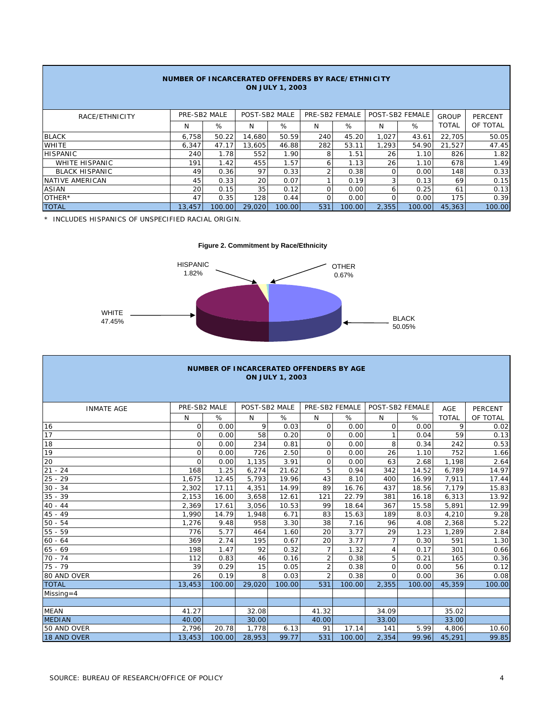| NUMBER OF INCARCERATED OFFENDERS BY RACE/ETHNICITY<br><b>ON JULY 1, 2003</b> |              |        |                 |        |                |        |          |                 |              |                |  |  |
|------------------------------------------------------------------------------|--------------|--------|-----------------|--------|----------------|--------|----------|-----------------|--------------|----------------|--|--|
| RACE/ETHNICITY                                                               | PRE-SB2 MALE |        | POST-SB2 MALE   |        | PRE-SB2 FEMALE |        |          | POST-SB2 FEMALE | GROUP        | <b>PERCENT</b> |  |  |
|                                                                              | N            | %      | N               | %      | N              | %      | N        | %               | <b>TOTAL</b> | OF TOTAL       |  |  |
| <b>BLACK</b>                                                                 | 6.758        | 50.22  | 14.680          | 50.59  | 240            | 45.20  | 1.027    | 43.61           | 22.705       | 50.05          |  |  |
| <b>WHITE</b>                                                                 | 6,347        | 47.17  | 13,605          | 46.88  | 282            | 53.11  | 1.293    | 54.90           | 21.527       | 47.45          |  |  |
| <b>HISPANIC</b>                                                              | 240          | 1.78   | 552             | 1.90   | 8              | 1.51   | 26       | 1.10            | 826          | 1.82           |  |  |
| <b>WHITE HISPANIC</b>                                                        | 191          | 1.42   | 455             | 1.57   | 6              | 1.13   | 26       | 1.10            | 678          | 1.49           |  |  |
| <b>BLACK HISPANIC</b>                                                        | 49           | 0.36   | 97              | 0.33   |                | 0.38   | $\Omega$ | 0.00            | 148          | 0.33           |  |  |
| NATIVE AMERICAN                                                              | 45           | 0.33   | 20              | 0.07   |                | 0.19   | 3        | 0.13            | 69           | 0.15           |  |  |
| ASIAN                                                                        | 20           | 0.15   | 35 <sub>1</sub> | 0.12   | $\Omega$       | 0.00   | 6        | 0.25            | 61           | 0.13           |  |  |
| OTHER*                                                                       | 47           | 0.35   | 128             | 0.44   | $\Omega$       | 0.00   | 0        | 0.00            | 175          | 0.39           |  |  |
| <b>TOTAL</b>                                                                 | 13,457       | 100.00 | 29,020          | 100.00 | 531            | 100.00 | 2,355    | 100.00          | 45,363       | 100.00         |  |  |

\* INCLUDES HISPANICS OF UNSPECIFIED RACIAL ORIGIN.

**Figure 2. Commitment by Race/Ethnicity**



| <b>NUMBER OF INCARCERATED OFFENDERS BY AGE</b><br><b>ON JULY 1, 2003</b> |              |        |               |        |                |                |                 |        |              |                |  |  |  |
|--------------------------------------------------------------------------|--------------|--------|---------------|--------|----------------|----------------|-----------------|--------|--------------|----------------|--|--|--|
| <b>INMATE AGE</b>                                                        | PRE-SB2 MALE |        | POST-SB2 MALE |        |                | PRE-SB2 FEMALE | POST-SB2 FEMALE |        | <b>AGE</b>   | <b>PERCENT</b> |  |  |  |
|                                                                          | N            | %      | N             | %      | N              | %              | N               | %      | <b>TOTAL</b> | OF TOTAL       |  |  |  |
| 16                                                                       | 0            | 0.00   | 9             | 0.03   | $\circ$        | 0.00           | $\circ$         | 0.00   | 9            | 0.02           |  |  |  |
| 17                                                                       | $\mathbf 0$  | 0.00   | 58            | 0.20   | $\circ$        | 0.00           | 1               | 0.04   | 59           | 0.13           |  |  |  |
| 18                                                                       | $\Omega$     | 0.00   | 234           | 0.81   | $\Omega$       | 0.00           | 8               | 0.34   | 242          | 0.53           |  |  |  |
| 19                                                                       | 0            | 0.00   | 726           | 2.50   | $\circ$        | 0.00           | 26              | 1.10   | 752          | 1.66           |  |  |  |
| 20                                                                       | $\Omega$     | 0.00   | 1,135         | 3.91   | $\Omega$       | 0.00           | 63              | 2.68   | 1,198        | 2.64           |  |  |  |
| $21 - 24$                                                                | 168          | 1.25   | 6,274         | 21.62  | 5              | 0.94           | 342             | 14.52  | 6,789        | 14.97          |  |  |  |
| $25 - 29$                                                                | 1,675        | 12.45  | 5,793         | 19.96  | 43             | 8.10           | 400             | 16.99  | 7,911        | 17.44          |  |  |  |
| $30 - 34$                                                                | 2.302        | 17.11  | 4,351         | 14.99  | 89             | 16.76          | 437             | 18.56  | 7.179        | 15.83          |  |  |  |
| $35 - 39$                                                                | 2,153        | 16.00  | 3,658         | 12.61  | 121            | 22.79          | 381             | 16.18  | 6,313        | 13.92          |  |  |  |
| $40 - 44$                                                                | 2,369        | 17.61  | 3,056         | 10.53  | 99             | 18.64          | 367             | 15.58  | 5,891        | 12.99          |  |  |  |
| $45 - 49$                                                                | 1.990        | 14.79  | 1,948         | 6.71   | 83             | 15.63          | 189             | 8.03   | 4,210        | 9.28           |  |  |  |
| $50 - 54$                                                                | 1,276        | 9.48   | 958           | 3.30   | 38             | 7.16           | 96              | 4.08   | 2,368        | 5.22           |  |  |  |
| $55 - 59$                                                                | 776          | 5.77   | 464           | 1.60   | 20             | 3.77           | 29              | 1.23   | 1,289        | 2.84           |  |  |  |
| $60 - 64$                                                                | 369          | 2.74   | 195           | 0.67   | 20             | 3.77           | $\overline{7}$  | 0.30   | 591          | 1.30           |  |  |  |
| $65 - 69$                                                                | 198          | 1.47   | 92            | 0.32   | $\overline{7}$ | 1.32           | 4               | 0.17   | 301          | 0.66           |  |  |  |
| $70 - 74$                                                                | 112          | 0.83   | 46            | 0.16   | $\overline{2}$ | 0.38           | 5               | 0.21   | 165          | 0.36           |  |  |  |
| $75 - 79$                                                                | 39           | 0.29   | 15            | 0.05   | $\overline{2}$ | 0.38           | $\mathsf{O}$    | 0.00   | 56           | 0.12           |  |  |  |
| 80 AND OVER                                                              | 26           | 0.19   | 8             | 0.03   | $\overline{2}$ | 0.38           | $\Omega$        | 0.00   | 36           | 0.08           |  |  |  |
| <b>TOTAL</b>                                                             | 13.453       | 100.00 | 29,020        | 100.00 | 531            | 100.00         | 2.355           | 100.00 | 45,359       | 100.00         |  |  |  |
| Missing=4                                                                |              |        |               |        |                |                |                 |        |              |                |  |  |  |
|                                                                          |              |        |               |        |                |                |                 |        |              |                |  |  |  |
| <b>MEAN</b>                                                              | 41.27        |        | 32.08         |        | 41.32          |                | 34.09           |        | 35.02        |                |  |  |  |
| <b>MEDIAN</b>                                                            | 40.00        |        | 30.00         |        | 40.00          |                | 33.00           |        | 33.00        |                |  |  |  |
| 50 AND OVER                                                              | 2,796        | 20.78  | 1,778         | 6.13   | 91             | 17.14          | 141             | 5.99   | 4,806        | 10.60          |  |  |  |
| 18 AND OVER                                                              | 13,453       | 100.00 | 28,953        | 99.77  | 531            | 100.00         | 2,354           | 99.96  | 45,291       | 99.85          |  |  |  |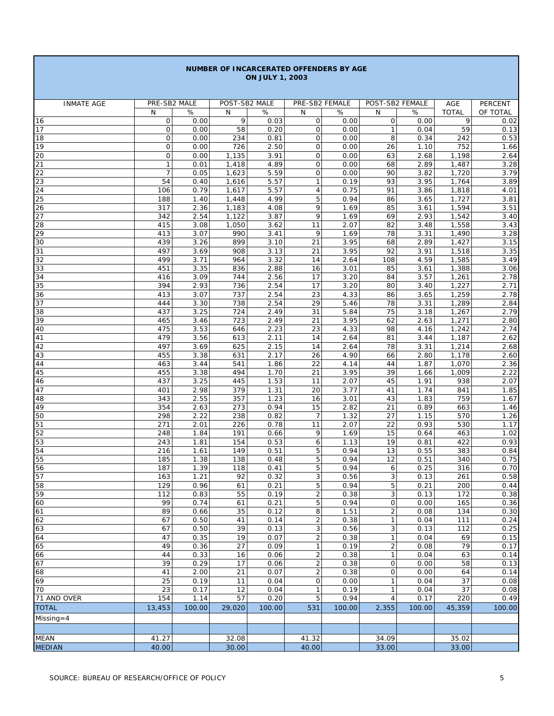| NUMBER OF INCARCERATED OFFENDERS BY AGE<br><b>ON JULY 1, 2003</b> |                        |              |                |              |                                  |              |                            |              |                |                |  |
|-------------------------------------------------------------------|------------------------|--------------|----------------|--------------|----------------------------------|--------------|----------------------------|--------------|----------------|----------------|--|
| <b>INMATE AGE</b>                                                 | PRE-SB2 MALE           |              | POST-SB2 MALE  |              | PRE-SB2 FEMALE                   |              | POST-SB2 FEMALE            |              | AGE            | <b>PERCENT</b> |  |
|                                                                   | N                      | $\%$         | N              | $\%$         | N                                | $\%$         | N                          | $\%$         | <b>TOTAL</b>   | OF TOTAL       |  |
| 16                                                                | $\mathbf 0$            | 0.00         | 9              | 0.03         | $\mathbf 0$                      | 0.00         | $\mathbf 0$                | 0.00         | 9              | 0.02           |  |
| 17                                                                | $\mathbf 0$            | 0.00         | 58             | 0.20         | 0                                | 0.00         | $\mathbf{1}$               | 0.04         | 59             | 0.13           |  |
| 18                                                                | $\overline{O}$         | 0.00         | 234            | 0.81         | $\mathbf{O}$                     | 0.00         | 8                          | 0.34         | 242            | 0.53           |  |
| 19<br>20                                                          | $\circ$<br>$\mathbf 0$ | 0.00<br>0.00 | 726<br>1,135   | 2.50<br>3.91 | $\mathbf{O}$<br>0                | 0.00<br>0.00 | 26<br>63                   | 1.10<br>2.68 | 752<br>1,198   | 1.66<br>2.64   |  |
| 21                                                                | $\mathbf{1}$           | 0.01         | 1,418          | 4.89         | $\mathbf{O}$                     | 0.00         | 68                         | 2.89         | 1,487          | 3.28           |  |
| 22                                                                | $\overline{7}$         | 0.05         | 1,623          | 5.59         | 0                                | 0.00         | 90                         | 3.82         | 1,720          | 3.79           |  |
| 23                                                                | 54                     | 0.40         | 1,616          | 5.57         | $\mathbf{1}$                     | 0.19         | 93                         | 3.95         | 1,764          | 3.89           |  |
| 24<br>25                                                          | 106<br>188             | 0.79<br>1.40 | 1,617          | 5.57<br>4.99 | $\overline{4}$<br>5              | 0.75<br>0.94 | 91<br>86                   | 3.86<br>3.65 | 1,818<br>1,727 | 4.01           |  |
| 26                                                                | 317                    | 2.36         | 1,448<br>1,183 | 4.08         | 9                                | 1.69         | 85                         | 3.61         | 1,594          | 3.81<br>3.51   |  |
| 27                                                                | 342                    | 2.54         | 1,122          | 3.87         | 9                                | 1.69         | 69                         | 2.93         | 1,542          | 3.40           |  |
| 28                                                                | 415                    | 3.08         | 1,050          | 3.62         | 11                               | 2.07         | 82                         | 3.48         | 1,558          | 3.43           |  |
| 29                                                                | 413                    | 3.07         | 990            | 3.41         | 9                                | 1.69         | 78                         | 3.31         | 1,490          | 3.28           |  |
| 30                                                                | 439                    | 3.26<br>3.69 | 899            | 3.10         | 21                               | 3.95<br>3.95 | 68<br>92                   | 2.89         | 1,427          | 3.15           |  |
| 31<br>32                                                          | 497<br>499             | 3.71         | 908<br>964     | 3.13<br>3.32 | 21<br>14                         | 2.64         | 108                        | 3.91<br>4.59 | 1,518<br>1,585 | 3.35<br>3.49   |  |
| 33                                                                | 451                    | 3.35         | 836            | 2.88         | 16                               | 3.01         | 85                         | 3.61         | 1,388          | 3.06           |  |
| 34                                                                | 416                    | 3.09         | 744            | 2.56         | 17                               | 3.20         | 84                         | 3.57         | 1,261          | 2.78           |  |
| 35                                                                | 394                    | 2.93         | 736            | 2.54         | 17                               | 3.20         | 80                         | 3.40         | 1,227          | 2.71           |  |
| 36                                                                | 413                    | 3.07         | 737            | 2.54         | 23                               | 4.33         | 86                         | 3.65         | 1,259          | 2.78           |  |
| 37<br>38                                                          | 444<br>437             | 3.30<br>3.25 | 738<br>724     | 2.54<br>2.49 | 29<br>31                         | 5.46<br>5.84 | 78<br>75                   | 3.31<br>3.18 | 1,289<br>1,267 | 2.84<br>2.79   |  |
| 39                                                                | 465                    | 3.46         | 723            | 2.49         | 21                               | 3.95         | 62                         | 2.63         | 1,271          | 2.80           |  |
| 40                                                                | 475                    | 3.53         | 646            | 2.23         | 23                               | 4.33         | 98                         | 4.16         | 1,242          | 2.74           |  |
| 41                                                                | 479                    | 3.56         | 613            | 2.11         | 14                               | 2.64         | 81                         | 3.44         | 1,187          | 2.62           |  |
| 42                                                                | 497                    | 3.69         | 625            | 2.15         | 14                               | 2.64         | 78                         | 3.31         | 1,214          | 2.68           |  |
| 43<br>44                                                          | 455<br>463             | 3.38<br>3.44 | 631<br>541     | 2.17<br>1.86 | 26<br>22                         | 4.90<br>4.14 | 66<br>44                   | 2.80<br>1.87 | 1,178<br>1,070 | 2.60<br>2.36   |  |
| 45                                                                | 455                    | 3.38         | 494            | 1.70         | 21                               | 3.95         | 39                         | 1.66         | 1,009          | 2.22           |  |
| 46                                                                | 437                    | 3.25         | 445            | 1.53         | 11                               | 2.07         | 45                         | 1.91         | 938            | 2.07           |  |
| 47                                                                | 401                    | 2.98         | 379            | 1.31         | 20                               | 3.77         | 41                         | 1.74         | 841            | 1.85           |  |
| 48                                                                | 343                    | 2.55         | 357            | 1.23         | 16                               | 3.01         | 43                         | 1.83         | 759            | 1.67           |  |
| 49<br>50                                                          | 354<br>298             | 2.63<br>2.22 | 273<br>238     | 0.94<br>0.82 | 15<br>$\overline{7}$             | 2.82<br>1.32 | 21<br>27                   | 0.89<br>1.15 | 663<br>570     | 1.46<br>1.26   |  |
| 51                                                                | 271                    | 2.01         | 226            | 0.78         | 11                               | 2.07         | 22                         | 0.93         | 530            | 1.17           |  |
| 52                                                                | 248                    | 1.84         | 191            | 0.66         | 9                                | 1.69         | 15                         | 0.64         | 463            | 1.02           |  |
| 53                                                                | 243                    | 1.81         | 154            | 0.53         | 6                                | 1.13         | 19                         | 0.81         | 422            | 0.93           |  |
| 54                                                                | 216                    | 1.61         | 149            | 0.51         | 5                                | 0.94         | 13                         | 0.55         | 383            | 0.84           |  |
| 55<br>56                                                          | 185<br>187             | 1.38<br>1.39 | 138<br>118     | 0.48<br>0.41 | 5<br>5                           | 0.94<br>0.94 | 12<br>6                    | 0.51<br>0.25 | 340<br>316     | 0.75<br>0.70   |  |
| 57                                                                | 163                    | 1.21         | 92             | 0.32         | 3                                | 0.56         | 3                          | 0.13         | 261            | 0.58           |  |
| 58                                                                | 129                    | 0.96         | 61             | 0.21         | 5                                | 0.94         | 5                          | 0.21         | 200            | 0.44           |  |
| 59                                                                | 112                    | 0.83         | 55             | 0.19         | $\overline{\mathbf{c}}$          | 0.38         | 3                          | 0.13         | 172            | 0.38           |  |
| 60                                                                | 99                     | 0.74         | 61             | 0.21         | 5                                | 0.94         | 0                          | 0.00         | 165            | 0.36           |  |
| 61<br>62                                                          | 89<br>67               | 0.66<br>0.50 | 35<br>41       | 0.12<br>0.14 | 8<br>$\sqrt{2}$                  | 1.51<br>0.38 | 2<br>$\mathbf{1}$          | 0.08<br>0.04 | 134<br>111     | 0.30<br>0.24   |  |
| 63                                                                | 67                     | 0.50         | 39             | 0.13         | 3                                | 0.56         | 3                          | 0.13         | 112            | 0.25           |  |
| 64                                                                | 47                     | 0.35         | 19             | 0.07         | $\boldsymbol{2}$                 | 0.38         | 1                          | 0.04         | 69             | 0.15           |  |
| 65                                                                | 49                     | 0.36         | 27             | 0.09         | $\mathbf{1}$                     | 0.19         | 2                          | 0.08         | 79             | 0.17           |  |
| 66                                                                | 44                     | 0.33         | 16             | 0.06         | $\overline{\mathbf{c}}$          | 0.38         | $\mathbf{1}$               | 0.04         | 63             | 0.14           |  |
| 67<br>68                                                          | 39<br>41               | 0.29<br>2.00 | 17<br>21       | 0.06<br>0.07 | $\overline{2}$<br>$\overline{2}$ | 0.38<br>0.38 | $\mathsf O$<br>$\mathsf O$ | 0.00<br>0.00 | 58<br>64       | 0.13<br>0.14   |  |
| 69                                                                | 25                     | 0.19         | 11             | 0.04         | 0                                | 0.00         | 1                          | 0.04         | 37             | 0.08           |  |
| 70                                                                | 23                     | 0.17         | 12             | 0.04         | $\mathbf{1}$                     | 0.19         | 1                          | 0.04         | 37             | 0.08           |  |
| 71 AND OVER                                                       | 154                    | 1.14         | 57             | 0.20         | 5                                | 0.94         | $\overline{4}$             | 0.17         | 220            | 0.49           |  |
| <b>TOTAL</b>                                                      | 13,453                 | 100.00       | 29,020         | 100.00       | 531                              | 100.00       | 2,355                      | 100.00       | 45,359         | 100.00         |  |
| $Missing = 4$                                                     |                        |              |                |              |                                  |              |                            |              |                |                |  |
|                                                                   |                        |              |                |              |                                  |              |                            |              |                |                |  |
| <b>MEAN</b>                                                       | 41.27                  |              | 32.08          |              | 41.32                            |              | 34.09                      |              | 35.02          |                |  |
| <b>MEDIAN</b>                                                     | 40.00                  |              | 30.00          |              | 40.00                            |              | 33.00                      |              | 33.00          |                |  |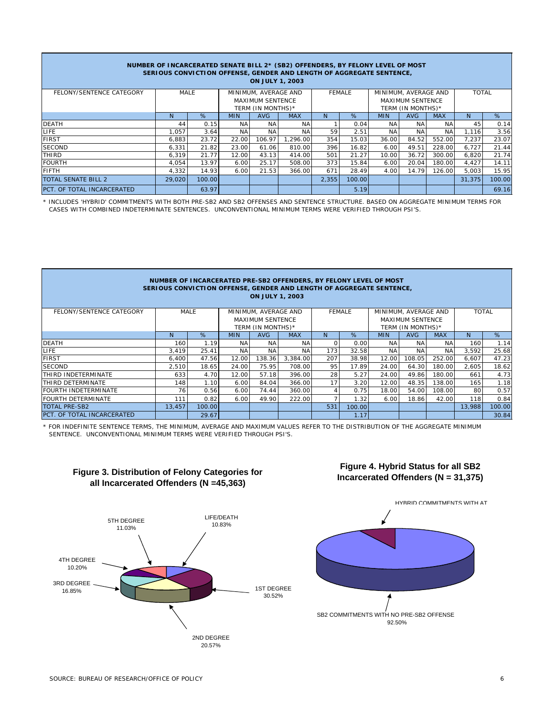| NUMBER OF INCARCERATED SENATE BILL 2* (SB2) OFFENDERS, BY FELONY LEVEL OF MOST<br>SERIOUS CONVICTION OFFENSE, GENDER AND LENGTH OF AGGREGATE SENTENCE,<br><b>ON JULY 1, 2003</b> |                      |        |                         |                                       |            |       |        |                         |                   |            |        |        |
|----------------------------------------------------------------------------------------------------------------------------------------------------------------------------------|----------------------|--------|-------------------------|---------------------------------------|------------|-------|--------|-------------------------|-------------------|------------|--------|--------|
| FELONY/SENTENCE CATEGORY                                                                                                                                                         | MINIMUM, AVERAGE AND |        |                         | MINIMUM, AVERAGE AND<br><b>FEMALE</b> |            |       |        | <b>TOTAL</b>            |                   |            |        |        |
|                                                                                                                                                                                  |                      |        | <b>MAXIMUM SENTENCE</b> |                                       |            |       |        | <b>MAXIMUM SENTENCE</b> |                   |            |        |        |
|                                                                                                                                                                                  |                      |        | TERM (IN MONTHS)*       |                                       |            |       |        |                         | TERM (IN MONTHS)* |            |        |        |
|                                                                                                                                                                                  | <sup>N</sup>         | %      | <b>MIN</b>              | AVG                                   | <b>MAX</b> | N     | %      | <b>MIN</b>              | AVG               | <b>MAX</b> | N.     | %      |
| <b>DEATH</b>                                                                                                                                                                     | 44                   | 0.15   | NA.                     | NA                                    | <b>NA</b>  |       | 0.04   | NA                      | NA                | NA         | 45     | 0.14   |
| LIFE.                                                                                                                                                                            | 1.057                | 3.64   | ΝA                      | <b>NA</b>                             | <b>NA</b>  | 59    | 2.51   | <b>NA</b>               | <b>NA</b>         | <b>NA</b>  | 1.116  | 3.56   |
| <b>FIRST</b>                                                                                                                                                                     | 6,883                | 23.72  | 22.00                   | 106.97                                | 1.296.00   | 354   | 15.03  | 36.00                   | 84.52             | 552.00     | 7,237  | 23.07  |
| <b>SECOND</b>                                                                                                                                                                    | 6,331                | 21.82  | 23.00                   | 61.06                                 | 810.00     | 396   | 16.82  | 6.00                    | 49.51             | 228.00     | 6,727  | 21.44  |
| THIRD                                                                                                                                                                            | 6,319                | 21.77  | 12.00                   | 43.13                                 | 414.00     | 501   | 21.27  | 10.00                   | 36.72             | 300.00     | 6,820  | 21.74  |
| <b>FOURTH</b>                                                                                                                                                                    | 4.054                | 13.97  | 6.00                    | 25.17                                 | 508.00     | 373   | 15.84  | 6.00                    | 20.04             | 180.00     | 4,427  | 14.11  |
| <b>FIFTH</b>                                                                                                                                                                     | 4,332                | 14.93  | 6.00                    | 21.53                                 | 366.00     | 671   | 28.49  | 4.00                    | 14.79             | 126.00     | 5,003  | 15.95  |
| TOTAL SENATE BILL 2                                                                                                                                                              | 29,020               | 100.00 |                         |                                       |            | 2.355 | 100.00 |                         |                   |            | 31,375 | 100.00 |
| PCT. OF TOTAL INCARCERATED                                                                                                                                                       |                      | 63.97  |                         |                                       |            |       | 5.19   |                         |                   |            |        | 69.16  |

\* INCLUDES 'HYBRID' COMMITMENTS WITH BOTH PRE-SB2 AND SB2 OFFENSES AND SENTENCE STRUCTURE. BASED ON AGGREGATE MINIMUM TERMS FOR CASES WITH COMBINED INDETERMINATE SENTENCES. UNCONVENTIONAL MINIMUM TERMS WERE VERIFIED THROUGH PSI'S.

| NUMBER OF INCARCERATED PRE-SB2 OFFENDERS, BY FELONY LEVEL OF MOST<br>SERIOUS CONVICTION OFFENSE, GENDER AND LENGTH OF AGGREGATE SENTENCE,<br><b>ON JULY 1, 2003</b> |                                               |        |                         |                   |            |          |        |                         |                      |              |        |        |  |
|---------------------------------------------------------------------------------------------------------------------------------------------------------------------|-----------------------------------------------|--------|-------------------------|-------------------|------------|----------|--------|-------------------------|----------------------|--------------|--------|--------|--|
| FELONY/SENTENCE CATEGORY                                                                                                                                            | MALE<br>MINIMUM, AVERAGE AND<br><b>FEMALE</b> |        |                         |                   |            |          |        |                         | MINIMUM, AVERAGE AND | <b>TOTAL</b> |        |        |  |
|                                                                                                                                                                     |                                               |        | <b>MAXIMUM SENTENCE</b> |                   |            |          |        | <b>MAXIMUM SENTENCE</b> |                      |              |        |        |  |
|                                                                                                                                                                     |                                               |        |                         | TERM (IN MONTHS)* |            |          |        |                         | TERM (IN MONTHS)*    |              |        |        |  |
|                                                                                                                                                                     | <sub>N</sub>                                  | %      | <b>MIN</b>              | <b>AVG</b>        | <b>MAX</b> | N        | %      | <b>MIN</b>              | <b>AVG</b>           | <b>MAX</b>   | N.     | %      |  |
| <b>DEATH</b>                                                                                                                                                        | 160                                           | 1.19   | <b>NA</b>               | <b>NA</b>         | <b>NA</b>  | $\Omega$ | 0.00   | <b>NA</b>               | <b>NA</b>            | <b>NA</b>    | 160    | 1.14   |  |
| <b>LIFE</b>                                                                                                                                                         | 3.419                                         | 25.41  | <b>NA</b>               | <b>NA</b>         | <b>NA</b>  | 173      | 32.58  | <b>NA</b>               | <b>NA</b>            | <b>NA</b>    | 3,592  | 25.68  |  |
| <b>FIRST</b>                                                                                                                                                        | 6,400                                         | 47.56  | 12.00                   | 138.36            | 3.384.00   | 207      | 38.98  | 12.00                   | 108.05               | 252.00       | 6,607  | 47.23  |  |
| <b>SECOND</b>                                                                                                                                                       | 2.510                                         | 18.65  | 24.00                   | 75.95             | 708.00     | 95       | 17.89  | 24.00                   | 64.30                | 180.00       | 2.605  | 18.62  |  |
| THIRD INDETERMINATE                                                                                                                                                 | 633                                           | 4.70   | 12.00                   | 57.18             | 396.00     | 28       | 5.27   | 24.00                   | 49.86                | 180.00       | 661    | 4.73   |  |
| THIRD DETERMINATE                                                                                                                                                   | 148                                           | 1.10   | 6.00                    | 84.04             | 366.00     | 17       | 3.20   | 12.00                   | 48.35                | 138.00       | 165    | 1.18   |  |
| <b>FOURTH INDETERMINATE</b>                                                                                                                                         | 76                                            | 0.56   | 6.00                    | 74.44             | 360.00     |          | 0.75   | 18.00                   | 54.00                | 108.00       | 80     | 0.57   |  |
| <b>FOURTH DETERMINATE</b>                                                                                                                                           | 111                                           | 0.82   | 6.00                    | 49.90             | 222.00     |          | 1.32   | 6.00                    | 18.86                | 42.00        | 118    | 0.84   |  |
| <b>TOTAL PRE-SB2</b>                                                                                                                                                | 13,457                                        | 100.00 |                         |                   |            | 531      | 100.00 |                         |                      |              | 13,988 | 100.00 |  |
| PCT. OF TOTAL INCARCERATED                                                                                                                                          |                                               | 29.67  |                         |                   |            |          | 1.17   |                         |                      |              |        | 30.84  |  |

\* FOR INDEFINITE SENTENCE TERMS, THE MINIMUM, AVERAGE AND MAXIMUM VALUES REFER TO THE DISTRIBUTION OF THE AGGREGATE MINIMUM SENTENCE. UNCONVENTIONAL MINIMUM TERMS WERE VERIFIED THROUGH PSI'S.



## **Figure 3. Distribution of Felony Categories for all Incarcerated Offenders (N =45,363)**

## **Figure 4. Hybrid Status for all SB2 Incarcerated Offenders (N = 31,375)**

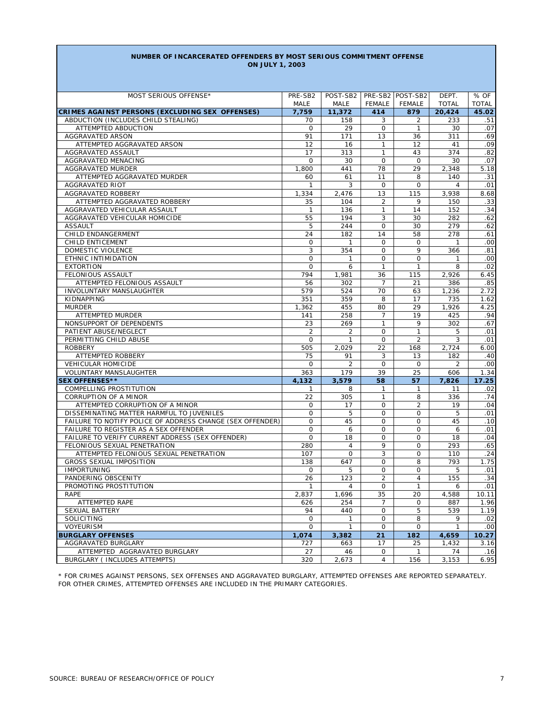#### **NUMBER OF INCARCERATED OFFENDERS BY MOST SERIOUS COMMITMENT OFFENSE ON JULY 1, 2003**

| PRE-SB2 POST-SB2<br><b>TOTAL</b><br><b>TOTAL</b><br>MALE<br>MALE<br><b>FEMALE</b><br><b>FEMALE</b><br>CRIMES AGAINST PERSONS (EXCLUDING SEX OFFENSES)<br>7,759<br>11,372<br>879<br>20,424<br>45.02<br>414<br>ABDUCTION (INCLUDES CHILD STEALING)<br>70<br>158<br>3<br>2<br>233<br>.51<br>29<br>ATTEMPTED ABDUCTION<br>$\mathsf{O}$<br>$\mathbf 0$<br>30<br>.07<br>$\mathbf{1}$<br><b>AGGRAVATED ARSON</b><br>.69<br>91<br>171<br>13<br>311<br>36<br>12<br>ATTEMPTED AGGRAVATED ARSON<br>16<br>12<br>.09<br>$\mathbf{1}$<br>41<br>.82<br>AGGRAVATED ASSAULT<br>17<br>313<br>$\mathbf{1}$<br>374<br>43<br>$\overline{O}$<br>AGGRAVATED MENACING<br>0<br>30<br>$\mathbf 0$<br>30<br>.07<br>AGGRAVATED MURDER<br>78<br>29<br>5.18<br>1,800<br>441<br>2,348<br>ATTEMPTED AGGRAVATED MURDER<br>11<br>140<br>.31<br>60<br>61<br>8<br><b>AGGRAVATED RIOT</b><br>3<br>$\circ$<br>$\overline{4}$<br>.01<br>1<br>0<br>AGGRAVATED ROBBERY<br>1,334<br>2.476<br>13<br>115<br>3,938<br>8.68<br>.33<br>ATTEMPTED AGGRAVATED ROBBERY<br>104<br>$\overline{2}$<br>9<br>150<br>35<br>136<br>.34<br>AGGRAVATED VEHICULAR ASSAULT<br>14<br>152<br>1<br>$\mathbf{1}$<br>3<br>.62<br>AGGRAVATED VEHICULAR HOMICIDE<br>55<br>194<br>30<br>282<br>5<br>244<br>$\overline{O}$<br>279<br><b>ASSAULT</b><br>30<br>.62<br>CHILD ENDANGERMENT<br>24<br>14<br>58<br>278<br>.61<br>182<br>CHILD ENTICEMENT<br>0<br>$\mathsf{O}$<br>.00<br>$\mathbf{1}$<br>0<br>$\mathbf{1}$<br>3<br>.81<br>DOMESTIC VIOLENCE<br>354<br>$\mathsf{O}$<br>9<br>366<br>ETHNIC INTIMIDATION<br>0<br>$\mathsf{O}$<br>$\circ$<br>.00<br>1<br>1<br>.02<br><b>EXTORTION</b><br>0<br>$\mathbf{1}$<br>8<br>6<br>1<br>FELONIOUS ASSAULT<br>794<br>2,926<br>6.45<br>1,981<br>36<br>115<br>ATTEMPTED FELONIOUS ASSAULT<br>56<br>302<br>21<br>386<br>.85<br>7<br>579<br>70<br>1,236<br>2.72<br>INVOLUNTARY MANSLAUGHTER<br>524<br>63<br>KIDNAPPING<br>351<br>359<br>17<br>735<br>1.62<br>8<br>4.25<br><b>MURDER</b><br>1,362<br>455<br>80<br>29<br>1,926<br>ATTEMPTED MURDER<br>258<br>19<br>425<br>.94<br>141<br>7<br>NONSUPPORT OF DEPENDENTS<br>23<br>269<br>$\mathbf{1}$<br>9<br>302<br>.67<br>$\overline{2}$<br>PATIENT ABUSE/NEGLECT<br>$\mathsf{O}$<br>$\mathbf{1}$<br>.01<br>2<br>5<br>$\mathsf{O}$<br>$\overline{2}$<br>3<br>.01<br>PERMITTING CHILD ABUSE<br>0<br>$\mathbf{1}$<br><b>ROBBERY</b><br>505<br>2,029<br>22<br>2,724<br>6.00<br>168<br>ATTEMPTED ROBBERY<br>75<br>91<br>3<br>182<br>.40<br>13<br>VEHICULAR HOMICIDE<br>$\overline{2}$<br>$\mathsf{O}$<br>.00<br>0<br>0<br>2<br>39<br>1.34<br>VOLUNTARY MANSLAUGHTER<br>363<br>179<br>25<br>606<br><b>SEX OFFENSES**</b><br>4,132<br>3,579<br>58<br>57<br>7,826<br>17.25<br>COMPELLING PROSTITUTION<br>8<br>11<br>.02<br>1<br>1<br>1<br>.74<br><b>CORRUPTION OF A MINOR</b><br>22<br>305<br>336<br>$\mathbf{1}$<br>8<br>ATTEMPTED CORRUPTION OF A MINOR<br>$\mathsf{O}$<br>$\overline{2}$<br>0<br>17<br>19<br>.04<br>DISSEMINATING MATTER HARMFUL TO JUVENILES<br>0<br>5<br>0<br>5<br>.01<br>0<br>FAILURE TO NOTIFY POLICE OF ADDRESS CHANGE (SEX OFFENDER)<br>0<br>$\mathsf{O}$<br>45<br>45<br>$\circ$<br>.10<br>0<br>FAILURE TO REGISTER AS A SEX OFFENDER<br>$\mathsf{O}$<br>$\circ$<br>.01<br>6<br>6<br>0<br>$\mathsf{O}$<br>FAILURE TO VERIFY CURRENT ADDRESS (SEX OFFENDER)<br>18<br>$\circ$<br>18<br>.04<br>FELONIOUS SEXUAL PENETRATION<br>280<br>9<br>293<br>.65<br>$\overline{4}$<br>0<br>3<br>ATTEMPTED FELONIOUS SEXUAL PENETRATION<br>107<br>$\mathbf 0$<br>$\circ$<br>.24<br>110<br><b>GROSS SEXUAL IMPOSITION</b><br>138<br>0<br>8<br>793<br>1.75<br>647<br><b>IMPORTUNING</b><br>$\mathsf{O}$<br>5<br>$\circ$<br>5<br>.01<br>0<br>$\overline{2}$<br>.34<br>PANDERING OBSCENITY<br>26<br>123<br>155<br>$\overline{4}$<br>PROMOTING PROSTITUTION<br>$\mathsf{O}$<br>$\mathbf{1}$<br>.01<br>1<br>4<br>6<br>2,837<br>35<br>4,588<br>10.11<br>1,696<br>20<br>RAPE<br>1.96<br>ATTEMPTED RAPE<br>254<br>7<br>0<br>887<br>626<br>SEXUAL BATTERY<br>539<br>1.19<br>94<br>440<br>0<br>5<br>SOLICITING<br>0<br>0<br>8<br>9<br>.02<br>$\mathbf{1}$<br>VOYEURISM<br>0<br>0<br>.00<br>$\mathbf{1}$<br>0<br>$\mathbf{1}$<br><b>BURGLARY OFFENSES</b><br>1,074<br>21<br>182<br>4,659<br>10.27<br>3,382<br>AGGRAVATED BURGLARY<br>727<br>663<br>17<br>25<br>1,432<br>3.16<br>ATTEMPTED AGGRAVATED BURGLARY<br>27<br>46<br>0<br>$\mathbf{1}$<br>74<br>.16<br>BURGLARY ( INCLUDES ATTEMPTS)<br>320<br>3,153<br>6.95<br>2,673<br>4<br>156 | MOST SERIOUS OFFENSE* | PRE-SB2 | POST-SB2 |  | DEPT. | % OF |
|---------------------------------------------------------------------------------------------------------------------------------------------------------------------------------------------------------------------------------------------------------------------------------------------------------------------------------------------------------------------------------------------------------------------------------------------------------------------------------------------------------------------------------------------------------------------------------------------------------------------------------------------------------------------------------------------------------------------------------------------------------------------------------------------------------------------------------------------------------------------------------------------------------------------------------------------------------------------------------------------------------------------------------------------------------------------------------------------------------------------------------------------------------------------------------------------------------------------------------------------------------------------------------------------------------------------------------------------------------------------------------------------------------------------------------------------------------------------------------------------------------------------------------------------------------------------------------------------------------------------------------------------------------------------------------------------------------------------------------------------------------------------------------------------------------------------------------------------------------------------------------------------------------------------------------------------------------------------------------------------------------------------------------------------------------------------------------------------------------------------------------------------------------------------------------------------------------------------------------------------------------------------------------------------------------------------------------------------------------------------------------------------------------------------------------------------------------------------------------------------------------------------------------------------------------------------------------------------------------------------------------------------------------------------------------------------------------------------------------------------------------------------------------------------------------------------------------------------------------------------------------------------------------------------------------------------------------------------------------------------------------------------------------------------------------------------------------------------------------------------------------------------------------------------------------------------------------------------------------------------------------------------------------------------------------------------------------------------------------------------------------------------------------------------------------------------------------------------------------------------------------------------------------------------------------------------------------------------------------------------------------------------------------------------------------------------------------------------------------------------------------------------------------------------------------------------------------------------------------------------------------------------------------------------------------------------------------------------------------------------------------------------------------------------------------------------------------------------------------------------------------------------------------------------------------------------------------------------------------------------------------------------------------------------------------------------------------------------------------------------------------------------------------------------------------------------|-----------------------|---------|----------|--|-------|------|
|                                                                                                                                                                                                                                                                                                                                                                                                                                                                                                                                                                                                                                                                                                                                                                                                                                                                                                                                                                                                                                                                                                                                                                                                                                                                                                                                                                                                                                                                                                                                                                                                                                                                                                                                                                                                                                                                                                                                                                                                                                                                                                                                                                                                                                                                                                                                                                                                                                                                                                                                                                                                                                                                                                                                                                                                                                                                                                                                                                                                                                                                                                                                                                                                                                                                                                                                                                                                                                                                                                                                                                                                                                                                                                                                                                                                                                                                                                                                                                                                                                                                                                                                                                                                                                                                                                                                                                                                                                             |                       |         |          |  |       |      |
|                                                                                                                                                                                                                                                                                                                                                                                                                                                                                                                                                                                                                                                                                                                                                                                                                                                                                                                                                                                                                                                                                                                                                                                                                                                                                                                                                                                                                                                                                                                                                                                                                                                                                                                                                                                                                                                                                                                                                                                                                                                                                                                                                                                                                                                                                                                                                                                                                                                                                                                                                                                                                                                                                                                                                                                                                                                                                                                                                                                                                                                                                                                                                                                                                                                                                                                                                                                                                                                                                                                                                                                                                                                                                                                                                                                                                                                                                                                                                                                                                                                                                                                                                                                                                                                                                                                                                                                                                                             |                       |         |          |  |       |      |
|                                                                                                                                                                                                                                                                                                                                                                                                                                                                                                                                                                                                                                                                                                                                                                                                                                                                                                                                                                                                                                                                                                                                                                                                                                                                                                                                                                                                                                                                                                                                                                                                                                                                                                                                                                                                                                                                                                                                                                                                                                                                                                                                                                                                                                                                                                                                                                                                                                                                                                                                                                                                                                                                                                                                                                                                                                                                                                                                                                                                                                                                                                                                                                                                                                                                                                                                                                                                                                                                                                                                                                                                                                                                                                                                                                                                                                                                                                                                                                                                                                                                                                                                                                                                                                                                                                                                                                                                                                             |                       |         |          |  |       |      |
|                                                                                                                                                                                                                                                                                                                                                                                                                                                                                                                                                                                                                                                                                                                                                                                                                                                                                                                                                                                                                                                                                                                                                                                                                                                                                                                                                                                                                                                                                                                                                                                                                                                                                                                                                                                                                                                                                                                                                                                                                                                                                                                                                                                                                                                                                                                                                                                                                                                                                                                                                                                                                                                                                                                                                                                                                                                                                                                                                                                                                                                                                                                                                                                                                                                                                                                                                                                                                                                                                                                                                                                                                                                                                                                                                                                                                                                                                                                                                                                                                                                                                                                                                                                                                                                                                                                                                                                                                                             |                       |         |          |  |       |      |
|                                                                                                                                                                                                                                                                                                                                                                                                                                                                                                                                                                                                                                                                                                                                                                                                                                                                                                                                                                                                                                                                                                                                                                                                                                                                                                                                                                                                                                                                                                                                                                                                                                                                                                                                                                                                                                                                                                                                                                                                                                                                                                                                                                                                                                                                                                                                                                                                                                                                                                                                                                                                                                                                                                                                                                                                                                                                                                                                                                                                                                                                                                                                                                                                                                                                                                                                                                                                                                                                                                                                                                                                                                                                                                                                                                                                                                                                                                                                                                                                                                                                                                                                                                                                                                                                                                                                                                                                                                             |                       |         |          |  |       |      |
|                                                                                                                                                                                                                                                                                                                                                                                                                                                                                                                                                                                                                                                                                                                                                                                                                                                                                                                                                                                                                                                                                                                                                                                                                                                                                                                                                                                                                                                                                                                                                                                                                                                                                                                                                                                                                                                                                                                                                                                                                                                                                                                                                                                                                                                                                                                                                                                                                                                                                                                                                                                                                                                                                                                                                                                                                                                                                                                                                                                                                                                                                                                                                                                                                                                                                                                                                                                                                                                                                                                                                                                                                                                                                                                                                                                                                                                                                                                                                                                                                                                                                                                                                                                                                                                                                                                                                                                                                                             |                       |         |          |  |       |      |
|                                                                                                                                                                                                                                                                                                                                                                                                                                                                                                                                                                                                                                                                                                                                                                                                                                                                                                                                                                                                                                                                                                                                                                                                                                                                                                                                                                                                                                                                                                                                                                                                                                                                                                                                                                                                                                                                                                                                                                                                                                                                                                                                                                                                                                                                                                                                                                                                                                                                                                                                                                                                                                                                                                                                                                                                                                                                                                                                                                                                                                                                                                                                                                                                                                                                                                                                                                                                                                                                                                                                                                                                                                                                                                                                                                                                                                                                                                                                                                                                                                                                                                                                                                                                                                                                                                                                                                                                                                             |                       |         |          |  |       |      |
|                                                                                                                                                                                                                                                                                                                                                                                                                                                                                                                                                                                                                                                                                                                                                                                                                                                                                                                                                                                                                                                                                                                                                                                                                                                                                                                                                                                                                                                                                                                                                                                                                                                                                                                                                                                                                                                                                                                                                                                                                                                                                                                                                                                                                                                                                                                                                                                                                                                                                                                                                                                                                                                                                                                                                                                                                                                                                                                                                                                                                                                                                                                                                                                                                                                                                                                                                                                                                                                                                                                                                                                                                                                                                                                                                                                                                                                                                                                                                                                                                                                                                                                                                                                                                                                                                                                                                                                                                                             |                       |         |          |  |       |      |
|                                                                                                                                                                                                                                                                                                                                                                                                                                                                                                                                                                                                                                                                                                                                                                                                                                                                                                                                                                                                                                                                                                                                                                                                                                                                                                                                                                                                                                                                                                                                                                                                                                                                                                                                                                                                                                                                                                                                                                                                                                                                                                                                                                                                                                                                                                                                                                                                                                                                                                                                                                                                                                                                                                                                                                                                                                                                                                                                                                                                                                                                                                                                                                                                                                                                                                                                                                                                                                                                                                                                                                                                                                                                                                                                                                                                                                                                                                                                                                                                                                                                                                                                                                                                                                                                                                                                                                                                                                             |                       |         |          |  |       |      |
|                                                                                                                                                                                                                                                                                                                                                                                                                                                                                                                                                                                                                                                                                                                                                                                                                                                                                                                                                                                                                                                                                                                                                                                                                                                                                                                                                                                                                                                                                                                                                                                                                                                                                                                                                                                                                                                                                                                                                                                                                                                                                                                                                                                                                                                                                                                                                                                                                                                                                                                                                                                                                                                                                                                                                                                                                                                                                                                                                                                                                                                                                                                                                                                                                                                                                                                                                                                                                                                                                                                                                                                                                                                                                                                                                                                                                                                                                                                                                                                                                                                                                                                                                                                                                                                                                                                                                                                                                                             |                       |         |          |  |       |      |
|                                                                                                                                                                                                                                                                                                                                                                                                                                                                                                                                                                                                                                                                                                                                                                                                                                                                                                                                                                                                                                                                                                                                                                                                                                                                                                                                                                                                                                                                                                                                                                                                                                                                                                                                                                                                                                                                                                                                                                                                                                                                                                                                                                                                                                                                                                                                                                                                                                                                                                                                                                                                                                                                                                                                                                                                                                                                                                                                                                                                                                                                                                                                                                                                                                                                                                                                                                                                                                                                                                                                                                                                                                                                                                                                                                                                                                                                                                                                                                                                                                                                                                                                                                                                                                                                                                                                                                                                                                             |                       |         |          |  |       |      |
|                                                                                                                                                                                                                                                                                                                                                                                                                                                                                                                                                                                                                                                                                                                                                                                                                                                                                                                                                                                                                                                                                                                                                                                                                                                                                                                                                                                                                                                                                                                                                                                                                                                                                                                                                                                                                                                                                                                                                                                                                                                                                                                                                                                                                                                                                                                                                                                                                                                                                                                                                                                                                                                                                                                                                                                                                                                                                                                                                                                                                                                                                                                                                                                                                                                                                                                                                                                                                                                                                                                                                                                                                                                                                                                                                                                                                                                                                                                                                                                                                                                                                                                                                                                                                                                                                                                                                                                                                                             |                       |         |          |  |       |      |
|                                                                                                                                                                                                                                                                                                                                                                                                                                                                                                                                                                                                                                                                                                                                                                                                                                                                                                                                                                                                                                                                                                                                                                                                                                                                                                                                                                                                                                                                                                                                                                                                                                                                                                                                                                                                                                                                                                                                                                                                                                                                                                                                                                                                                                                                                                                                                                                                                                                                                                                                                                                                                                                                                                                                                                                                                                                                                                                                                                                                                                                                                                                                                                                                                                                                                                                                                                                                                                                                                                                                                                                                                                                                                                                                                                                                                                                                                                                                                                                                                                                                                                                                                                                                                                                                                                                                                                                                                                             |                       |         |          |  |       |      |
|                                                                                                                                                                                                                                                                                                                                                                                                                                                                                                                                                                                                                                                                                                                                                                                                                                                                                                                                                                                                                                                                                                                                                                                                                                                                                                                                                                                                                                                                                                                                                                                                                                                                                                                                                                                                                                                                                                                                                                                                                                                                                                                                                                                                                                                                                                                                                                                                                                                                                                                                                                                                                                                                                                                                                                                                                                                                                                                                                                                                                                                                                                                                                                                                                                                                                                                                                                                                                                                                                                                                                                                                                                                                                                                                                                                                                                                                                                                                                                                                                                                                                                                                                                                                                                                                                                                                                                                                                                             |                       |         |          |  |       |      |
|                                                                                                                                                                                                                                                                                                                                                                                                                                                                                                                                                                                                                                                                                                                                                                                                                                                                                                                                                                                                                                                                                                                                                                                                                                                                                                                                                                                                                                                                                                                                                                                                                                                                                                                                                                                                                                                                                                                                                                                                                                                                                                                                                                                                                                                                                                                                                                                                                                                                                                                                                                                                                                                                                                                                                                                                                                                                                                                                                                                                                                                                                                                                                                                                                                                                                                                                                                                                                                                                                                                                                                                                                                                                                                                                                                                                                                                                                                                                                                                                                                                                                                                                                                                                                                                                                                                                                                                                                                             |                       |         |          |  |       |      |
|                                                                                                                                                                                                                                                                                                                                                                                                                                                                                                                                                                                                                                                                                                                                                                                                                                                                                                                                                                                                                                                                                                                                                                                                                                                                                                                                                                                                                                                                                                                                                                                                                                                                                                                                                                                                                                                                                                                                                                                                                                                                                                                                                                                                                                                                                                                                                                                                                                                                                                                                                                                                                                                                                                                                                                                                                                                                                                                                                                                                                                                                                                                                                                                                                                                                                                                                                                                                                                                                                                                                                                                                                                                                                                                                                                                                                                                                                                                                                                                                                                                                                                                                                                                                                                                                                                                                                                                                                                             |                       |         |          |  |       |      |
|                                                                                                                                                                                                                                                                                                                                                                                                                                                                                                                                                                                                                                                                                                                                                                                                                                                                                                                                                                                                                                                                                                                                                                                                                                                                                                                                                                                                                                                                                                                                                                                                                                                                                                                                                                                                                                                                                                                                                                                                                                                                                                                                                                                                                                                                                                                                                                                                                                                                                                                                                                                                                                                                                                                                                                                                                                                                                                                                                                                                                                                                                                                                                                                                                                                                                                                                                                                                                                                                                                                                                                                                                                                                                                                                                                                                                                                                                                                                                                                                                                                                                                                                                                                                                                                                                                                                                                                                                                             |                       |         |          |  |       |      |
|                                                                                                                                                                                                                                                                                                                                                                                                                                                                                                                                                                                                                                                                                                                                                                                                                                                                                                                                                                                                                                                                                                                                                                                                                                                                                                                                                                                                                                                                                                                                                                                                                                                                                                                                                                                                                                                                                                                                                                                                                                                                                                                                                                                                                                                                                                                                                                                                                                                                                                                                                                                                                                                                                                                                                                                                                                                                                                                                                                                                                                                                                                                                                                                                                                                                                                                                                                                                                                                                                                                                                                                                                                                                                                                                                                                                                                                                                                                                                                                                                                                                                                                                                                                                                                                                                                                                                                                                                                             |                       |         |          |  |       |      |
|                                                                                                                                                                                                                                                                                                                                                                                                                                                                                                                                                                                                                                                                                                                                                                                                                                                                                                                                                                                                                                                                                                                                                                                                                                                                                                                                                                                                                                                                                                                                                                                                                                                                                                                                                                                                                                                                                                                                                                                                                                                                                                                                                                                                                                                                                                                                                                                                                                                                                                                                                                                                                                                                                                                                                                                                                                                                                                                                                                                                                                                                                                                                                                                                                                                                                                                                                                                                                                                                                                                                                                                                                                                                                                                                                                                                                                                                                                                                                                                                                                                                                                                                                                                                                                                                                                                                                                                                                                             |                       |         |          |  |       |      |
|                                                                                                                                                                                                                                                                                                                                                                                                                                                                                                                                                                                                                                                                                                                                                                                                                                                                                                                                                                                                                                                                                                                                                                                                                                                                                                                                                                                                                                                                                                                                                                                                                                                                                                                                                                                                                                                                                                                                                                                                                                                                                                                                                                                                                                                                                                                                                                                                                                                                                                                                                                                                                                                                                                                                                                                                                                                                                                                                                                                                                                                                                                                                                                                                                                                                                                                                                                                                                                                                                                                                                                                                                                                                                                                                                                                                                                                                                                                                                                                                                                                                                                                                                                                                                                                                                                                                                                                                                                             |                       |         |          |  |       |      |
|                                                                                                                                                                                                                                                                                                                                                                                                                                                                                                                                                                                                                                                                                                                                                                                                                                                                                                                                                                                                                                                                                                                                                                                                                                                                                                                                                                                                                                                                                                                                                                                                                                                                                                                                                                                                                                                                                                                                                                                                                                                                                                                                                                                                                                                                                                                                                                                                                                                                                                                                                                                                                                                                                                                                                                                                                                                                                                                                                                                                                                                                                                                                                                                                                                                                                                                                                                                                                                                                                                                                                                                                                                                                                                                                                                                                                                                                                                                                                                                                                                                                                                                                                                                                                                                                                                                                                                                                                                             |                       |         |          |  |       |      |
|                                                                                                                                                                                                                                                                                                                                                                                                                                                                                                                                                                                                                                                                                                                                                                                                                                                                                                                                                                                                                                                                                                                                                                                                                                                                                                                                                                                                                                                                                                                                                                                                                                                                                                                                                                                                                                                                                                                                                                                                                                                                                                                                                                                                                                                                                                                                                                                                                                                                                                                                                                                                                                                                                                                                                                                                                                                                                                                                                                                                                                                                                                                                                                                                                                                                                                                                                                                                                                                                                                                                                                                                                                                                                                                                                                                                                                                                                                                                                                                                                                                                                                                                                                                                                                                                                                                                                                                                                                             |                       |         |          |  |       |      |
|                                                                                                                                                                                                                                                                                                                                                                                                                                                                                                                                                                                                                                                                                                                                                                                                                                                                                                                                                                                                                                                                                                                                                                                                                                                                                                                                                                                                                                                                                                                                                                                                                                                                                                                                                                                                                                                                                                                                                                                                                                                                                                                                                                                                                                                                                                                                                                                                                                                                                                                                                                                                                                                                                                                                                                                                                                                                                                                                                                                                                                                                                                                                                                                                                                                                                                                                                                                                                                                                                                                                                                                                                                                                                                                                                                                                                                                                                                                                                                                                                                                                                                                                                                                                                                                                                                                                                                                                                                             |                       |         |          |  |       |      |
|                                                                                                                                                                                                                                                                                                                                                                                                                                                                                                                                                                                                                                                                                                                                                                                                                                                                                                                                                                                                                                                                                                                                                                                                                                                                                                                                                                                                                                                                                                                                                                                                                                                                                                                                                                                                                                                                                                                                                                                                                                                                                                                                                                                                                                                                                                                                                                                                                                                                                                                                                                                                                                                                                                                                                                                                                                                                                                                                                                                                                                                                                                                                                                                                                                                                                                                                                                                                                                                                                                                                                                                                                                                                                                                                                                                                                                                                                                                                                                                                                                                                                                                                                                                                                                                                                                                                                                                                                                             |                       |         |          |  |       |      |
|                                                                                                                                                                                                                                                                                                                                                                                                                                                                                                                                                                                                                                                                                                                                                                                                                                                                                                                                                                                                                                                                                                                                                                                                                                                                                                                                                                                                                                                                                                                                                                                                                                                                                                                                                                                                                                                                                                                                                                                                                                                                                                                                                                                                                                                                                                                                                                                                                                                                                                                                                                                                                                                                                                                                                                                                                                                                                                                                                                                                                                                                                                                                                                                                                                                                                                                                                                                                                                                                                                                                                                                                                                                                                                                                                                                                                                                                                                                                                                                                                                                                                                                                                                                                                                                                                                                                                                                                                                             |                       |         |          |  |       |      |
|                                                                                                                                                                                                                                                                                                                                                                                                                                                                                                                                                                                                                                                                                                                                                                                                                                                                                                                                                                                                                                                                                                                                                                                                                                                                                                                                                                                                                                                                                                                                                                                                                                                                                                                                                                                                                                                                                                                                                                                                                                                                                                                                                                                                                                                                                                                                                                                                                                                                                                                                                                                                                                                                                                                                                                                                                                                                                                                                                                                                                                                                                                                                                                                                                                                                                                                                                                                                                                                                                                                                                                                                                                                                                                                                                                                                                                                                                                                                                                                                                                                                                                                                                                                                                                                                                                                                                                                                                                             |                       |         |          |  |       |      |
|                                                                                                                                                                                                                                                                                                                                                                                                                                                                                                                                                                                                                                                                                                                                                                                                                                                                                                                                                                                                                                                                                                                                                                                                                                                                                                                                                                                                                                                                                                                                                                                                                                                                                                                                                                                                                                                                                                                                                                                                                                                                                                                                                                                                                                                                                                                                                                                                                                                                                                                                                                                                                                                                                                                                                                                                                                                                                                                                                                                                                                                                                                                                                                                                                                                                                                                                                                                                                                                                                                                                                                                                                                                                                                                                                                                                                                                                                                                                                                                                                                                                                                                                                                                                                                                                                                                                                                                                                                             |                       |         |          |  |       |      |
|                                                                                                                                                                                                                                                                                                                                                                                                                                                                                                                                                                                                                                                                                                                                                                                                                                                                                                                                                                                                                                                                                                                                                                                                                                                                                                                                                                                                                                                                                                                                                                                                                                                                                                                                                                                                                                                                                                                                                                                                                                                                                                                                                                                                                                                                                                                                                                                                                                                                                                                                                                                                                                                                                                                                                                                                                                                                                                                                                                                                                                                                                                                                                                                                                                                                                                                                                                                                                                                                                                                                                                                                                                                                                                                                                                                                                                                                                                                                                                                                                                                                                                                                                                                                                                                                                                                                                                                                                                             |                       |         |          |  |       |      |
|                                                                                                                                                                                                                                                                                                                                                                                                                                                                                                                                                                                                                                                                                                                                                                                                                                                                                                                                                                                                                                                                                                                                                                                                                                                                                                                                                                                                                                                                                                                                                                                                                                                                                                                                                                                                                                                                                                                                                                                                                                                                                                                                                                                                                                                                                                                                                                                                                                                                                                                                                                                                                                                                                                                                                                                                                                                                                                                                                                                                                                                                                                                                                                                                                                                                                                                                                                                                                                                                                                                                                                                                                                                                                                                                                                                                                                                                                                                                                                                                                                                                                                                                                                                                                                                                                                                                                                                                                                             |                       |         |          |  |       |      |
|                                                                                                                                                                                                                                                                                                                                                                                                                                                                                                                                                                                                                                                                                                                                                                                                                                                                                                                                                                                                                                                                                                                                                                                                                                                                                                                                                                                                                                                                                                                                                                                                                                                                                                                                                                                                                                                                                                                                                                                                                                                                                                                                                                                                                                                                                                                                                                                                                                                                                                                                                                                                                                                                                                                                                                                                                                                                                                                                                                                                                                                                                                                                                                                                                                                                                                                                                                                                                                                                                                                                                                                                                                                                                                                                                                                                                                                                                                                                                                                                                                                                                                                                                                                                                                                                                                                                                                                                                                             |                       |         |          |  |       |      |
|                                                                                                                                                                                                                                                                                                                                                                                                                                                                                                                                                                                                                                                                                                                                                                                                                                                                                                                                                                                                                                                                                                                                                                                                                                                                                                                                                                                                                                                                                                                                                                                                                                                                                                                                                                                                                                                                                                                                                                                                                                                                                                                                                                                                                                                                                                                                                                                                                                                                                                                                                                                                                                                                                                                                                                                                                                                                                                                                                                                                                                                                                                                                                                                                                                                                                                                                                                                                                                                                                                                                                                                                                                                                                                                                                                                                                                                                                                                                                                                                                                                                                                                                                                                                                                                                                                                                                                                                                                             |                       |         |          |  |       |      |
|                                                                                                                                                                                                                                                                                                                                                                                                                                                                                                                                                                                                                                                                                                                                                                                                                                                                                                                                                                                                                                                                                                                                                                                                                                                                                                                                                                                                                                                                                                                                                                                                                                                                                                                                                                                                                                                                                                                                                                                                                                                                                                                                                                                                                                                                                                                                                                                                                                                                                                                                                                                                                                                                                                                                                                                                                                                                                                                                                                                                                                                                                                                                                                                                                                                                                                                                                                                                                                                                                                                                                                                                                                                                                                                                                                                                                                                                                                                                                                                                                                                                                                                                                                                                                                                                                                                                                                                                                                             |                       |         |          |  |       |      |
|                                                                                                                                                                                                                                                                                                                                                                                                                                                                                                                                                                                                                                                                                                                                                                                                                                                                                                                                                                                                                                                                                                                                                                                                                                                                                                                                                                                                                                                                                                                                                                                                                                                                                                                                                                                                                                                                                                                                                                                                                                                                                                                                                                                                                                                                                                                                                                                                                                                                                                                                                                                                                                                                                                                                                                                                                                                                                                                                                                                                                                                                                                                                                                                                                                                                                                                                                                                                                                                                                                                                                                                                                                                                                                                                                                                                                                                                                                                                                                                                                                                                                                                                                                                                                                                                                                                                                                                                                                             |                       |         |          |  |       |      |
|                                                                                                                                                                                                                                                                                                                                                                                                                                                                                                                                                                                                                                                                                                                                                                                                                                                                                                                                                                                                                                                                                                                                                                                                                                                                                                                                                                                                                                                                                                                                                                                                                                                                                                                                                                                                                                                                                                                                                                                                                                                                                                                                                                                                                                                                                                                                                                                                                                                                                                                                                                                                                                                                                                                                                                                                                                                                                                                                                                                                                                                                                                                                                                                                                                                                                                                                                                                                                                                                                                                                                                                                                                                                                                                                                                                                                                                                                                                                                                                                                                                                                                                                                                                                                                                                                                                                                                                                                                             |                       |         |          |  |       |      |
|                                                                                                                                                                                                                                                                                                                                                                                                                                                                                                                                                                                                                                                                                                                                                                                                                                                                                                                                                                                                                                                                                                                                                                                                                                                                                                                                                                                                                                                                                                                                                                                                                                                                                                                                                                                                                                                                                                                                                                                                                                                                                                                                                                                                                                                                                                                                                                                                                                                                                                                                                                                                                                                                                                                                                                                                                                                                                                                                                                                                                                                                                                                                                                                                                                                                                                                                                                                                                                                                                                                                                                                                                                                                                                                                                                                                                                                                                                                                                                                                                                                                                                                                                                                                                                                                                                                                                                                                                                             |                       |         |          |  |       |      |
|                                                                                                                                                                                                                                                                                                                                                                                                                                                                                                                                                                                                                                                                                                                                                                                                                                                                                                                                                                                                                                                                                                                                                                                                                                                                                                                                                                                                                                                                                                                                                                                                                                                                                                                                                                                                                                                                                                                                                                                                                                                                                                                                                                                                                                                                                                                                                                                                                                                                                                                                                                                                                                                                                                                                                                                                                                                                                                                                                                                                                                                                                                                                                                                                                                                                                                                                                                                                                                                                                                                                                                                                                                                                                                                                                                                                                                                                                                                                                                                                                                                                                                                                                                                                                                                                                                                                                                                                                                             |                       |         |          |  |       |      |
|                                                                                                                                                                                                                                                                                                                                                                                                                                                                                                                                                                                                                                                                                                                                                                                                                                                                                                                                                                                                                                                                                                                                                                                                                                                                                                                                                                                                                                                                                                                                                                                                                                                                                                                                                                                                                                                                                                                                                                                                                                                                                                                                                                                                                                                                                                                                                                                                                                                                                                                                                                                                                                                                                                                                                                                                                                                                                                                                                                                                                                                                                                                                                                                                                                                                                                                                                                                                                                                                                                                                                                                                                                                                                                                                                                                                                                                                                                                                                                                                                                                                                                                                                                                                                                                                                                                                                                                                                                             |                       |         |          |  |       |      |
|                                                                                                                                                                                                                                                                                                                                                                                                                                                                                                                                                                                                                                                                                                                                                                                                                                                                                                                                                                                                                                                                                                                                                                                                                                                                                                                                                                                                                                                                                                                                                                                                                                                                                                                                                                                                                                                                                                                                                                                                                                                                                                                                                                                                                                                                                                                                                                                                                                                                                                                                                                                                                                                                                                                                                                                                                                                                                                                                                                                                                                                                                                                                                                                                                                                                                                                                                                                                                                                                                                                                                                                                                                                                                                                                                                                                                                                                                                                                                                                                                                                                                                                                                                                                                                                                                                                                                                                                                                             |                       |         |          |  |       |      |
|                                                                                                                                                                                                                                                                                                                                                                                                                                                                                                                                                                                                                                                                                                                                                                                                                                                                                                                                                                                                                                                                                                                                                                                                                                                                                                                                                                                                                                                                                                                                                                                                                                                                                                                                                                                                                                                                                                                                                                                                                                                                                                                                                                                                                                                                                                                                                                                                                                                                                                                                                                                                                                                                                                                                                                                                                                                                                                                                                                                                                                                                                                                                                                                                                                                                                                                                                                                                                                                                                                                                                                                                                                                                                                                                                                                                                                                                                                                                                                                                                                                                                                                                                                                                                                                                                                                                                                                                                                             |                       |         |          |  |       |      |
|                                                                                                                                                                                                                                                                                                                                                                                                                                                                                                                                                                                                                                                                                                                                                                                                                                                                                                                                                                                                                                                                                                                                                                                                                                                                                                                                                                                                                                                                                                                                                                                                                                                                                                                                                                                                                                                                                                                                                                                                                                                                                                                                                                                                                                                                                                                                                                                                                                                                                                                                                                                                                                                                                                                                                                                                                                                                                                                                                                                                                                                                                                                                                                                                                                                                                                                                                                                                                                                                                                                                                                                                                                                                                                                                                                                                                                                                                                                                                                                                                                                                                                                                                                                                                                                                                                                                                                                                                                             |                       |         |          |  |       |      |
|                                                                                                                                                                                                                                                                                                                                                                                                                                                                                                                                                                                                                                                                                                                                                                                                                                                                                                                                                                                                                                                                                                                                                                                                                                                                                                                                                                                                                                                                                                                                                                                                                                                                                                                                                                                                                                                                                                                                                                                                                                                                                                                                                                                                                                                                                                                                                                                                                                                                                                                                                                                                                                                                                                                                                                                                                                                                                                                                                                                                                                                                                                                                                                                                                                                                                                                                                                                                                                                                                                                                                                                                                                                                                                                                                                                                                                                                                                                                                                                                                                                                                                                                                                                                                                                                                                                                                                                                                                             |                       |         |          |  |       |      |
|                                                                                                                                                                                                                                                                                                                                                                                                                                                                                                                                                                                                                                                                                                                                                                                                                                                                                                                                                                                                                                                                                                                                                                                                                                                                                                                                                                                                                                                                                                                                                                                                                                                                                                                                                                                                                                                                                                                                                                                                                                                                                                                                                                                                                                                                                                                                                                                                                                                                                                                                                                                                                                                                                                                                                                                                                                                                                                                                                                                                                                                                                                                                                                                                                                                                                                                                                                                                                                                                                                                                                                                                                                                                                                                                                                                                                                                                                                                                                                                                                                                                                                                                                                                                                                                                                                                                                                                                                                             |                       |         |          |  |       |      |
|                                                                                                                                                                                                                                                                                                                                                                                                                                                                                                                                                                                                                                                                                                                                                                                                                                                                                                                                                                                                                                                                                                                                                                                                                                                                                                                                                                                                                                                                                                                                                                                                                                                                                                                                                                                                                                                                                                                                                                                                                                                                                                                                                                                                                                                                                                                                                                                                                                                                                                                                                                                                                                                                                                                                                                                                                                                                                                                                                                                                                                                                                                                                                                                                                                                                                                                                                                                                                                                                                                                                                                                                                                                                                                                                                                                                                                                                                                                                                                                                                                                                                                                                                                                                                                                                                                                                                                                                                                             |                       |         |          |  |       |      |
|                                                                                                                                                                                                                                                                                                                                                                                                                                                                                                                                                                                                                                                                                                                                                                                                                                                                                                                                                                                                                                                                                                                                                                                                                                                                                                                                                                                                                                                                                                                                                                                                                                                                                                                                                                                                                                                                                                                                                                                                                                                                                                                                                                                                                                                                                                                                                                                                                                                                                                                                                                                                                                                                                                                                                                                                                                                                                                                                                                                                                                                                                                                                                                                                                                                                                                                                                                                                                                                                                                                                                                                                                                                                                                                                                                                                                                                                                                                                                                                                                                                                                                                                                                                                                                                                                                                                                                                                                                             |                       |         |          |  |       |      |
|                                                                                                                                                                                                                                                                                                                                                                                                                                                                                                                                                                                                                                                                                                                                                                                                                                                                                                                                                                                                                                                                                                                                                                                                                                                                                                                                                                                                                                                                                                                                                                                                                                                                                                                                                                                                                                                                                                                                                                                                                                                                                                                                                                                                                                                                                                                                                                                                                                                                                                                                                                                                                                                                                                                                                                                                                                                                                                                                                                                                                                                                                                                                                                                                                                                                                                                                                                                                                                                                                                                                                                                                                                                                                                                                                                                                                                                                                                                                                                                                                                                                                                                                                                                                                                                                                                                                                                                                                                             |                       |         |          |  |       |      |
|                                                                                                                                                                                                                                                                                                                                                                                                                                                                                                                                                                                                                                                                                                                                                                                                                                                                                                                                                                                                                                                                                                                                                                                                                                                                                                                                                                                                                                                                                                                                                                                                                                                                                                                                                                                                                                                                                                                                                                                                                                                                                                                                                                                                                                                                                                                                                                                                                                                                                                                                                                                                                                                                                                                                                                                                                                                                                                                                                                                                                                                                                                                                                                                                                                                                                                                                                                                                                                                                                                                                                                                                                                                                                                                                                                                                                                                                                                                                                                                                                                                                                                                                                                                                                                                                                                                                                                                                                                             |                       |         |          |  |       |      |
|                                                                                                                                                                                                                                                                                                                                                                                                                                                                                                                                                                                                                                                                                                                                                                                                                                                                                                                                                                                                                                                                                                                                                                                                                                                                                                                                                                                                                                                                                                                                                                                                                                                                                                                                                                                                                                                                                                                                                                                                                                                                                                                                                                                                                                                                                                                                                                                                                                                                                                                                                                                                                                                                                                                                                                                                                                                                                                                                                                                                                                                                                                                                                                                                                                                                                                                                                                                                                                                                                                                                                                                                                                                                                                                                                                                                                                                                                                                                                                                                                                                                                                                                                                                                                                                                                                                                                                                                                                             |                       |         |          |  |       |      |
|                                                                                                                                                                                                                                                                                                                                                                                                                                                                                                                                                                                                                                                                                                                                                                                                                                                                                                                                                                                                                                                                                                                                                                                                                                                                                                                                                                                                                                                                                                                                                                                                                                                                                                                                                                                                                                                                                                                                                                                                                                                                                                                                                                                                                                                                                                                                                                                                                                                                                                                                                                                                                                                                                                                                                                                                                                                                                                                                                                                                                                                                                                                                                                                                                                                                                                                                                                                                                                                                                                                                                                                                                                                                                                                                                                                                                                                                                                                                                                                                                                                                                                                                                                                                                                                                                                                                                                                                                                             |                       |         |          |  |       |      |
|                                                                                                                                                                                                                                                                                                                                                                                                                                                                                                                                                                                                                                                                                                                                                                                                                                                                                                                                                                                                                                                                                                                                                                                                                                                                                                                                                                                                                                                                                                                                                                                                                                                                                                                                                                                                                                                                                                                                                                                                                                                                                                                                                                                                                                                                                                                                                                                                                                                                                                                                                                                                                                                                                                                                                                                                                                                                                                                                                                                                                                                                                                                                                                                                                                                                                                                                                                                                                                                                                                                                                                                                                                                                                                                                                                                                                                                                                                                                                                                                                                                                                                                                                                                                                                                                                                                                                                                                                                             |                       |         |          |  |       |      |
|                                                                                                                                                                                                                                                                                                                                                                                                                                                                                                                                                                                                                                                                                                                                                                                                                                                                                                                                                                                                                                                                                                                                                                                                                                                                                                                                                                                                                                                                                                                                                                                                                                                                                                                                                                                                                                                                                                                                                                                                                                                                                                                                                                                                                                                                                                                                                                                                                                                                                                                                                                                                                                                                                                                                                                                                                                                                                                                                                                                                                                                                                                                                                                                                                                                                                                                                                                                                                                                                                                                                                                                                                                                                                                                                                                                                                                                                                                                                                                                                                                                                                                                                                                                                                                                                                                                                                                                                                                             |                       |         |          |  |       |      |
|                                                                                                                                                                                                                                                                                                                                                                                                                                                                                                                                                                                                                                                                                                                                                                                                                                                                                                                                                                                                                                                                                                                                                                                                                                                                                                                                                                                                                                                                                                                                                                                                                                                                                                                                                                                                                                                                                                                                                                                                                                                                                                                                                                                                                                                                                                                                                                                                                                                                                                                                                                                                                                                                                                                                                                                                                                                                                                                                                                                                                                                                                                                                                                                                                                                                                                                                                                                                                                                                                                                                                                                                                                                                                                                                                                                                                                                                                                                                                                                                                                                                                                                                                                                                                                                                                                                                                                                                                                             |                       |         |          |  |       |      |
|                                                                                                                                                                                                                                                                                                                                                                                                                                                                                                                                                                                                                                                                                                                                                                                                                                                                                                                                                                                                                                                                                                                                                                                                                                                                                                                                                                                                                                                                                                                                                                                                                                                                                                                                                                                                                                                                                                                                                                                                                                                                                                                                                                                                                                                                                                                                                                                                                                                                                                                                                                                                                                                                                                                                                                                                                                                                                                                                                                                                                                                                                                                                                                                                                                                                                                                                                                                                                                                                                                                                                                                                                                                                                                                                                                                                                                                                                                                                                                                                                                                                                                                                                                                                                                                                                                                                                                                                                                             |                       |         |          |  |       |      |
|                                                                                                                                                                                                                                                                                                                                                                                                                                                                                                                                                                                                                                                                                                                                                                                                                                                                                                                                                                                                                                                                                                                                                                                                                                                                                                                                                                                                                                                                                                                                                                                                                                                                                                                                                                                                                                                                                                                                                                                                                                                                                                                                                                                                                                                                                                                                                                                                                                                                                                                                                                                                                                                                                                                                                                                                                                                                                                                                                                                                                                                                                                                                                                                                                                                                                                                                                                                                                                                                                                                                                                                                                                                                                                                                                                                                                                                                                                                                                                                                                                                                                                                                                                                                                                                                                                                                                                                                                                             |                       |         |          |  |       |      |
|                                                                                                                                                                                                                                                                                                                                                                                                                                                                                                                                                                                                                                                                                                                                                                                                                                                                                                                                                                                                                                                                                                                                                                                                                                                                                                                                                                                                                                                                                                                                                                                                                                                                                                                                                                                                                                                                                                                                                                                                                                                                                                                                                                                                                                                                                                                                                                                                                                                                                                                                                                                                                                                                                                                                                                                                                                                                                                                                                                                                                                                                                                                                                                                                                                                                                                                                                                                                                                                                                                                                                                                                                                                                                                                                                                                                                                                                                                                                                                                                                                                                                                                                                                                                                                                                                                                                                                                                                                             |                       |         |          |  |       |      |
|                                                                                                                                                                                                                                                                                                                                                                                                                                                                                                                                                                                                                                                                                                                                                                                                                                                                                                                                                                                                                                                                                                                                                                                                                                                                                                                                                                                                                                                                                                                                                                                                                                                                                                                                                                                                                                                                                                                                                                                                                                                                                                                                                                                                                                                                                                                                                                                                                                                                                                                                                                                                                                                                                                                                                                                                                                                                                                                                                                                                                                                                                                                                                                                                                                                                                                                                                                                                                                                                                                                                                                                                                                                                                                                                                                                                                                                                                                                                                                                                                                                                                                                                                                                                                                                                                                                                                                                                                                             |                       |         |          |  |       |      |
|                                                                                                                                                                                                                                                                                                                                                                                                                                                                                                                                                                                                                                                                                                                                                                                                                                                                                                                                                                                                                                                                                                                                                                                                                                                                                                                                                                                                                                                                                                                                                                                                                                                                                                                                                                                                                                                                                                                                                                                                                                                                                                                                                                                                                                                                                                                                                                                                                                                                                                                                                                                                                                                                                                                                                                                                                                                                                                                                                                                                                                                                                                                                                                                                                                                                                                                                                                                                                                                                                                                                                                                                                                                                                                                                                                                                                                                                                                                                                                                                                                                                                                                                                                                                                                                                                                                                                                                                                                             |                       |         |          |  |       |      |
|                                                                                                                                                                                                                                                                                                                                                                                                                                                                                                                                                                                                                                                                                                                                                                                                                                                                                                                                                                                                                                                                                                                                                                                                                                                                                                                                                                                                                                                                                                                                                                                                                                                                                                                                                                                                                                                                                                                                                                                                                                                                                                                                                                                                                                                                                                                                                                                                                                                                                                                                                                                                                                                                                                                                                                                                                                                                                                                                                                                                                                                                                                                                                                                                                                                                                                                                                                                                                                                                                                                                                                                                                                                                                                                                                                                                                                                                                                                                                                                                                                                                                                                                                                                                                                                                                                                                                                                                                                             |                       |         |          |  |       |      |

\* FOR CRIMES AGAINST PERSONS, SEX OFFENSES AND AGGRAVATED BURGLARY, ATTEMPTED OFFENSES ARE REPORTED SEPARATELY. FOR OTHER CRIMES, ATTEMPTED OFFENSES ARE INCLUDED IN THE PRIMARY CATEGORIES.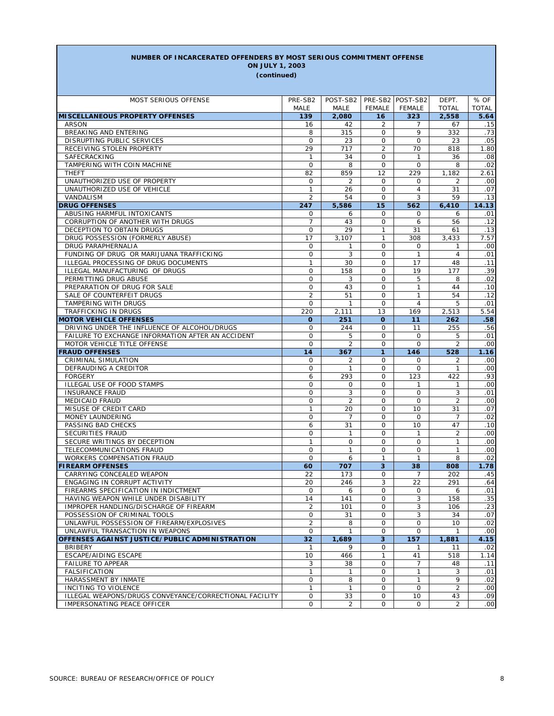#### **NUMBER OF INCARCERATED OFFENDERS BY MOST SERIOUS COMMITMENT OFFENSE**

**(continued) ON JULY 1, 2003**

| MOST SERIOUS OFFENSE                                   | PRE-SB2          | POST-SB2   PRE-SB2   POST-SB2 |                         |                         | DEPT.          | % OF         |
|--------------------------------------------------------|------------------|-------------------------------|-------------------------|-------------------------|----------------|--------------|
|                                                        | MALE             | MALE                          | <b>FEMALE</b>           | <b>FEMALE</b>           | <b>TOTAL</b>   | <b>TOTAL</b> |
| <b>MISCELLANEOUS PROPERTY OFFENSES</b>                 | 139              | 2,080                         | 16                      | 323                     | 2,558          | 5.64         |
| <b>ARSON</b>                                           | 16               | 42                            | 2                       | 7                       | 67             | .15          |
| BREAKING AND ENTERING                                  | 8                | 315                           | $\mathbf 0$             | 9                       | 332            | .73          |
| DISRUPTING PUBLIC SERVICES                             | 0                | 23                            | 0                       | 0                       | 23             | .05          |
| RECEIVING STOLEN PROPERTY                              | 29               | 717                           | $\overline{2}$          | 70                      | 818            | 1.80         |
| SAFECRACKING                                           | $\mathbf{1}$     | 34                            | 0                       | $\mathbf{1}$            | 36             | .08          |
| TAMPERING WITH COIN MACHINE                            | $\mathsf O$      | 8                             | $\mathbf 0$             | $\circ$                 | 8              | .02          |
| <b>THEFT</b>                                           | 82               | 859                           | 12                      | 229                     | 1,182          | 2.61         |
| UNAUTHORIZED USE OF PROPERTY                           | 0                | 2                             | 0                       | 0                       | 2              | .00          |
| UNAUTHORIZED USE OF VEHICLE                            | $\mathbf{1}$     | 26                            | $\mathbf 0$             | $\overline{4}$          | 31             | .07          |
| VANDALISM                                              | $\overline{2}$   | 54                            | $\mathsf{O}$            | 3                       | 59             | .13          |
| <b>DRUG OFFENSES</b>                                   | 247              | 5,586                         | 15                      | 562                     | 6,410          | 14.13        |
| ABUSING HARMFUL INTOXICANTS                            | 0                | 6                             | 0                       | 0                       | 6              | .01          |
| CORRUPTION OF ANOTHER WITH DRUGS                       | $\overline{7}$   | 43                            | $\mathbf 0$             | 6                       | 56             | .12          |
| DECEPTION TO OBTAIN DRUGS                              | $\mathbf 0$      | 29                            | $\mathbf{1}$            | 31                      | 61             | .13          |
| DRUG POSSESSION (FORMERLY ABUSE)                       | 17               | 3,107                         | 1                       | 308                     | 3,433          | 7.57         |
| DRUG PARAPHERNALIA                                     | $\mathsf O$      | 1                             | $\mathsf{O}$            | $\mathbf 0$             | $\mathbf{1}$   | .00          |
| FUNDING OF DRUG OR MARIJUANA TRAFFICKING               | 0                | 3                             | 0                       | $\mathbf{1}$            | 4              | .01          |
| ILLEGAL PROCESSING OF DRUG DOCUMENTS                   | $\mathbf{1}$     | 30                            | $\mathbf 0$             | 17                      | 48             | .11          |
| ILLEGAL MANUFACTURING OF DRUGS                         | 0                | 158                           | 0                       | 19                      | 177            | .39          |
| PERMITTING DRUG ABUSE                                  | $\mathsf O$      | 3                             | $\mathbf 0$             | 5                       | 8              | .02          |
| PREPARATION OF DRUG FOR SALE                           | $\mathsf O$      | 43                            | 0                       | 1                       | 44             | .10          |
| SALE OF COUNTERFEIT DRUGS                              | $\overline{2}$   | 51                            | $\mathbf 0$             | $\mathbf{1}$            | 54             | .12          |
| TAMPERING WITH DRUGS                                   | 0                | $\mathbf{1}$                  | 0                       | $\overline{4}$          | 5              | .01          |
| TRAFFICKING IN DRUGS                                   | 220              | 2,111                         | 13                      | 169                     | 2,513          | 5.54         |
| <b>MOTOR VEHICLE OFFENSES</b>                          | $\mathbf{o}$     | 251                           | $\mathbf{o}$            | 11                      | 262            | .58          |
| DRIVING UNDER THE INFLUENCE OF ALCOHOL/DRUGS           | 0                | 244                           | 0                       | 11                      | 255            | .56          |
| FAILURE TO EXCHANGE INFORMATION AFTER AN ACCIDENT      | $\mathbf 0$      | 5                             | 0                       | $\mathbf 0$             | 5              | .01          |
| MOTOR VEHICLE TITLE OFFENSE                            | $\mathbf 0$      | $\overline{2}$                | $\mathsf{O}$            | $\circ$                 | 2              | .00          |
| <b>FRAUD OFFENSES</b>                                  | 14               | 367                           | $\mathbf{1}$            | 146                     | 528            | 1.16         |
| <b>CRIMINAL SIMULATION</b>                             | 0                | 2                             | 0                       | 0                       | 2              | .00          |
| DEFRAUDING A CREDITOR                                  | 0                | $\mathbf{1}$                  | $\mathsf{O}$            | $\mathbf 0$             | $\mathbf{1}$   | .00          |
| <b>FORGERY</b>                                         | 6                | 293                           | 0                       | 123                     | 422            | .93          |
| ILLEGAL USE OF FOOD STAMPS<br><b>INSURANCE FRAUD</b>   | 0<br>$\mathsf O$ | 0<br>3                        | 0<br>$\mathbf 0$        | $\mathbf{1}$<br>$\circ$ | 1<br>3         | .00<br>.01   |
| <b>MEDICAID FRAUD</b>                                  | 0                | 2                             | 0                       | 0                       | 2              | .00          |
| MISUSE OF CREDIT CARD                                  | $\mathbf{1}$     | 20                            | $\mathbf 0$             | 10                      | 31             | .07          |
| MONEY LAUNDERING                                       | 0                | 7                             | 0                       | $\mathbf 0$             | 7              | .02          |
| PASSING BAD CHECKS                                     | 6                | 31                            | $\mathbf 0$             | 10                      | 47             | .10          |
| SECURITIES FRAUD                                       | 0                | 1                             | 0                       | $\mathbf{1}$            | 2              | .00          |
| SECURE WRITINGS BY DECEPTION                           | $\mathbf{1}$     | 0                             | $\mathbf 0$             | $\mathbf 0$             | $\mathbf{1}$   | .00          |
| TELECOMMUNICATIONS FRAUD                               | 0                | $\mathbf{1}$                  | 0                       | 0                       | 1              | .00          |
| <b>WORKERS COMPENSATION FRAUD</b>                      | 0                | 6                             | $\mathbf{1}$            | $\mathbf{1}$            | 8              | .02          |
| <b>FIREARM OFFENSES</b>                                | 60               | 707                           | 3                       | 38                      | 808            | 1.78         |
| CARRYING CONCEALED WEAPON                              | 22               | 173                           | 0                       | 7                       | 202            | .45          |
| ENGAGING IN CORRUPT ACTIVITY                           | 20               | 246                           | 3                       | 22                      | 291            | .64          |
| FIREARMS SPECIFICATION IN INDICTMENT                   | $\mathbf 0$      | 6                             | 0                       | $\mathbf 0$             | 6              | .01          |
| HAVING WEAPON WHILE UNDER DISABILITY                   | 14               | 141                           | O                       | 3                       | 158            | .35          |
| IMPROPER HANDLING/DISCHARGE OF FIREARM                 | 2                | 101                           | $\mathbf 0$             | 3                       | 106            | .23          |
| POSSESSION OF CRIMINAL TOOLS                           | 0                | 31                            | 0                       | 3                       | 34             | .07          |
| UNLAWFUL POSSESSION OF FIREARM/EXPLOSIVES              | $\overline{2}$   | 8                             | $\mathsf{O}$            | $\mathsf{O}$            | 10             | .02          |
| UNLAWFUL TRANSACTION IN WEAPONS                        | 0                | 1                             | 0                       | 0                       | $\mathbf{1}$   | .00          |
| OFFENSES AGAINST JUSTICE/PUBLIC ADMINISTRATION         | 32               | 1,689                         | $\overline{\mathbf{3}}$ | 157                     | 1,881          | 4.15         |
| <b>BRIBERY</b>                                         | 1                | 9                             | 0                       | 1                       | 11             | .02          |
| ESCAPE/AIDING ESCAPE                                   | 10               | 466                           | $\mathbf{1}$            | 41                      | 518            | 1.14         |
| <b>FAILURE TO APPEAR</b>                               | 3                | 38                            | 0                       | 7                       | 48             | .11          |
| <b>FALSIFICATION</b>                                   | $\mathbf{1}$     | 1                             | 0                       | $\mathbf{1}$            | 3              | .01          |
| HARASSMENT BY INMATE                                   | 0                | 8                             | 0                       | $\mathbf{1}$            | 9              | .02          |
| INCITING TO VIOLENCE                                   | $\mathbf{1}$     | 1                             | 0                       | $\mathsf{O}$            | $\overline{2}$ | .00          |
| ILLEGAL WEAPONS/DRUGS CONVEYANCE/CORRECTIONAL FACILITY | 0                | 33                            | 0                       | 10                      | 43             | .09          |
| IMPERSONATING PEACE OFFICER                            | $\mathbf 0$      | $\overline{2}$                | 0                       | 0                       | $\overline{a}$ | .00          |